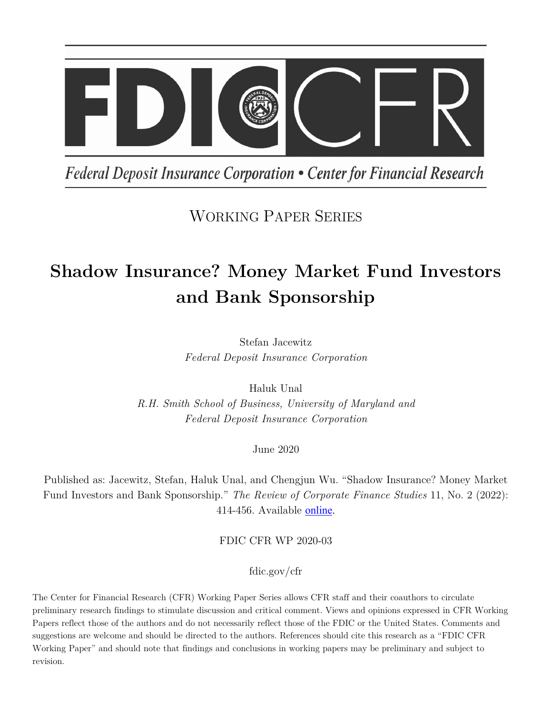

Federal Deposit Insurance Corporation • Center for Financial Research

# WORKING PAPER SERIES

# **Shadow Insurance? Money Market Fund Investors and Bank Sponsorship**

Stefan Jacewitz *Federal Deposit Insurance Corporation*

Haluk Unal

*R.H. Smith School of Business, University of Maryland and Federal Deposit Insurance Corporation*

June 2020

Published as: Jacewitz, Stefan, Haluk Unal, and Chengjun Wu. "Shadow Insurance? Money Market Fund Investors and Bank Sponsorship." *The Review of Corporate Finance Studies* 11, No. 2 (2022): 414-456. Available [online.](https://doi.org/10.1093/rcfs/cfab027)

FDIC CFR WP 2020-03

fdic.gov/cfr

The Center for Financial Research (CFR) Working Paper Series allows CFR staff and their coauthors to circulate preliminary research findings to stimulate discussion and critical comment. Views and opinions expressed in CFR Working Papers reflect those of the authors and do not necessarily reflect those of the FDIC or the United States. Comments and suggestions are welcome and should be directed to the authors. References should cite this research as a "FDIC CFR Working Paper" and should note that findings and conclusions in working papers may be preliminary and subject to revision.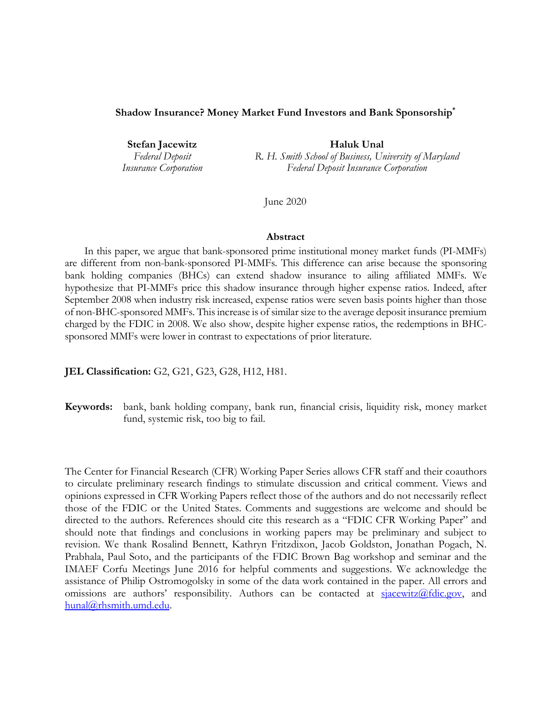#### **Shadow Insurance? Money Market Fund Investors and Bank Sponsorship\***

**Stefan Jacewitz Haluk Unal** *Federal Deposit R. H. Smith School of Business, University of Maryland Insurance Corporation Federal Deposit Insurance Corporation*

June 2020

#### **Abstract**

In this paper, we argue that bank-sponsored prime institutional money market funds (PI-MMFs) are different from non-bank-sponsored PI-MMFs. This difference can arise because the sponsoring bank holding companies (BHCs) can extend shadow insurance to ailing affiliated MMFs. We hypothesize that PI-MMFs price this shadow insurance through higher expense ratios. Indeed, after September 2008 when industry risk increased, expense ratios were seven basis points higher than those of non-BHC-sponsored MMFs. This increase is of similar size to the average deposit insurance premium charged by the FDIC in 2008. We also show, despite higher expense ratios, the redemptions in BHCsponsored MMFs were lower in contrast to expectations of prior literature.

**JEL Classification:** G2, G21, G23, G28, H12, H81.

**Keywords:** bank, bank holding company, bank run, financial crisis, liquidity risk, money market fund, systemic risk, too big to fail.

The Center for Financial Research (CFR) Working Paper Series allows CFR staff and their coauthors to circulate preliminary research findings to stimulate discussion and critical comment. Views and opinions expressed in CFR Working Papers reflect those of the authors and do not necessarily reflect those of the FDIC or the United States. Comments and suggestions are welcome and should be directed to the authors. References should cite this research as a "FDIC CFR Working Paper" and should note that findings and conclusions in working papers may be preliminary and subject to revision. We thank Rosalind Bennett, Kathryn Fritzdixon, Jacob Goldston, Jonathan Pogach, N. Prabhala, Paul Soto, and the participants of the FDIC Brown Bag workshop and seminar and the IMAEF Corfu Meetings June 2016 for helpful comments and suggestions. We acknowledge the assistance of Philip Ostromogolsky in some of the data work contained in the paper. All errors and omissions are authors' responsibility. Authors can be contacted at  $\frac{\text{square}(a)}{\text{square}(a)}$  and [hunal@rhsmith.umd.edu.](mailto:hunal@rhsmith.umd.edu)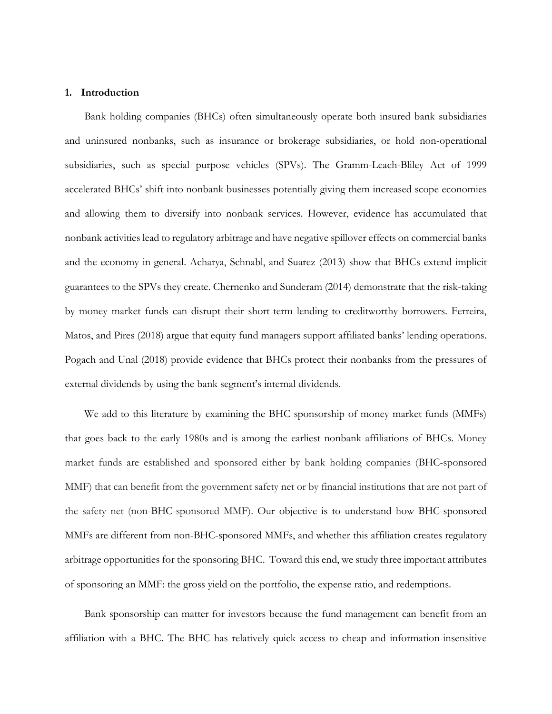#### **1. Introduction**

Bank holding companies (BHCs) often simultaneously operate both insured bank subsidiaries and uninsured nonbanks, such as insurance or brokerage subsidiaries, or hold non-operational subsidiaries, such as special purpose vehicles (SPVs). The Gramm-Leach-Bliley Act of 1999 accelerated BHCs' shift into nonbank businesses potentially giving them increased scope economies and allowing them to diversify into nonbank services. However, evidence has accumulated that nonbank activities lead to regulatory arbitrage and have negative spillover effects on commercial banks and the economy in general. Acharya, Schnabl, and Suarez (2013) show that BHCs extend implicit guarantees to the SPVs they create. Chernenko and Sunderam (2014) demonstrate that the risk-taking by money market funds can disrupt their short-term lending to creditworthy borrowers. Ferreira, Matos, and Pires (2018) argue that equity fund managers support affiliated banks' lending operations. Pogach and Unal (2018) provide evidence that BHCs protect their nonbanks from the pressures of external dividends by using the bank segment's internal dividends.

We add to this literature by examining the BHC sponsorship of money market funds (MMFs) that goes back to the early 1980s and is among the earliest nonbank affiliations of BHCs. Money market funds are established and sponsored either by bank holding companies (BHC-sponsored MMF) that can benefit from the government safety net or by financial institutions that are not part of the safety net (non-BHC-sponsored MMF). Our objective is to understand how BHC-sponsored MMFs are different from non-BHC-sponsored MMFs, and whether this affiliation creates regulatory arbitrage opportunities for the sponsoring BHC. Toward this end, we study three important attributes of sponsoring an MMF: the gross yield on the portfolio, the expense ratio, and redemptions.

Bank sponsorship can matter for investors because the fund management can benefit from an affiliation with a BHC. The BHC has relatively quick access to cheap and information-insensitive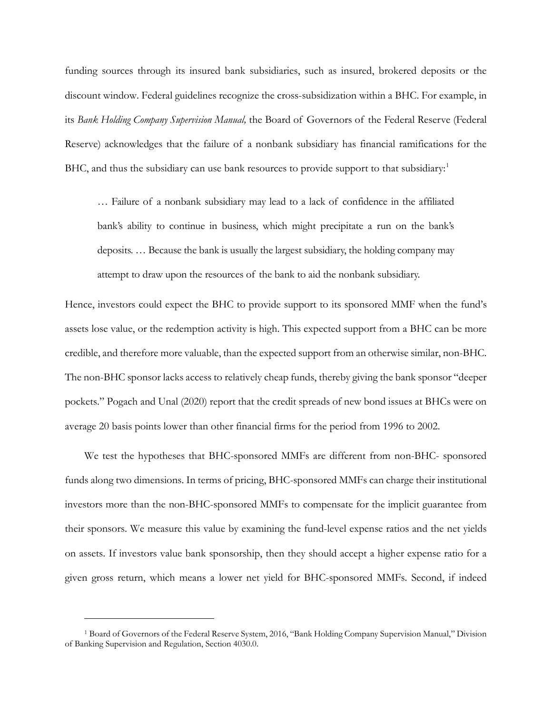funding sources through its insured bank subsidiaries, such as insured, brokered deposits or the discount window. Federal guidelines recognize the cross-subsidization within a BHC. For example, in its *Bank Holding Company Supervision Manual,* the Board of Governors of the Federal Reserve (Federal Reserve) acknowledges that the failure of a nonbank subsidiary has financial ramifications for the BHC, and thus the subsidiary can use bank resources to provide support to that subsidiary:<sup>[1](#page-3-0)</sup>

… Failure of a nonbank subsidiary may lead to a lack of confidence in the affiliated bank's ability to continue in business, which might precipitate a run on the bank's deposits. … Because the bank is usually the largest subsidiary, the holding company may attempt to draw upon the resources of the bank to aid the nonbank subsidiary.

Hence, investors could expect the BHC to provide support to its sponsored MMF when the fund's assets lose value, or the redemption activity is high. This expected support from a BHC can be more credible, and therefore more valuable, than the expected support from an otherwise similar, non-BHC. The non-BHC sponsor lacks access to relatively cheap funds, thereby giving the bank sponsor "deeper pockets." Pogach and Unal (2020) report that the credit spreads of new bond issues at BHCs were on average 20 basis points lower than other financial firms for the period from 1996 to 2002.

We test the hypotheses that BHC-sponsored MMFs are different from non-BHC- sponsored funds along two dimensions. In terms of pricing, BHC-sponsored MMFs can charge their institutional investors more than the non-BHC-sponsored MMFs to compensate for the implicit guarantee from their sponsors. We measure this value by examining the fund-level expense ratios and the net yields on assets. If investors value bank sponsorship, then they should accept a higher expense ratio for a given gross return, which means a lower net yield for BHC-sponsored MMFs. Second, if indeed

I

<span id="page-3-0"></span><sup>1</sup> Board of Governors of the Federal Reserve System, 2016, "Bank Holding Company Supervision Manual," Division of Banking Supervision and Regulation, Section 4030.0.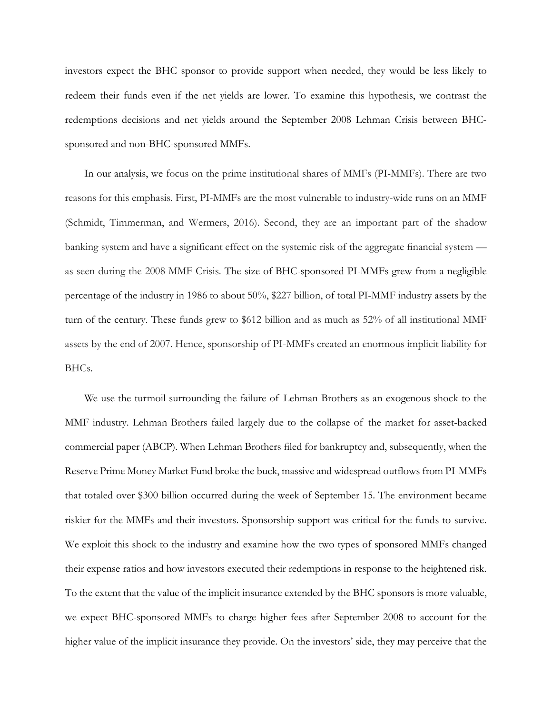investors expect the BHC sponsor to provide support when needed, they would be less likely to redeem their funds even if the net yields are lower. To examine this hypothesis, we contrast the redemptions decisions and net yields around the September 2008 Lehman Crisis between BHCsponsored and non-BHC-sponsored MMFs.

In our analysis, we focus on the prime institutional shares of MMFs (PI-MMFs). There are two reasons for this emphasis. First, PI-MMFs are the most vulnerable to industry-wide runs on an MMF (Schmidt, Timmerman, and Wermers, 2016). Second, they are an important part of the shadow banking system and have a significant effect on the systemic risk of the aggregate financial system as seen during the 2008 MMF Crisis. The size of BHC-sponsored PI-MMFs grew from a negligible percentage of the industry in 1986 to about 50%, \$227 billion, of total PI-MMF industry assets by the turn of the century. These funds grew to \$612 billion and as much as 52% of all institutional MMF assets by the end of 2007. Hence, sponsorship of PI-MMFs created an enormous implicit liability for BHCs.

We use the turmoil surrounding the failure of Lehman Brothers as an exogenous shock to the MMF industry. Lehman Brothers failed largely due to the collapse of the market for asset-backed commercial paper (ABCP). When Lehman Brothers filed for bankruptcy and, subsequently, when the Reserve Prime Money Market Fund broke the buck, massive and widespread outflows from PI-MMFs that totaled over \$300 billion occurred during the week of September 15. The environment became riskier for the MMFs and their investors. Sponsorship support was critical for the funds to survive. We exploit this shock to the industry and examine how the two types of sponsored MMFs changed their expense ratios and how investors executed their redemptions in response to the heightened risk. To the extent that the value of the implicit insurance extended by the BHC sponsors is more valuable, we expect BHC-sponsored MMFs to charge higher fees after September 2008 to account for the higher value of the implicit insurance they provide. On the investors' side, they may perceive that the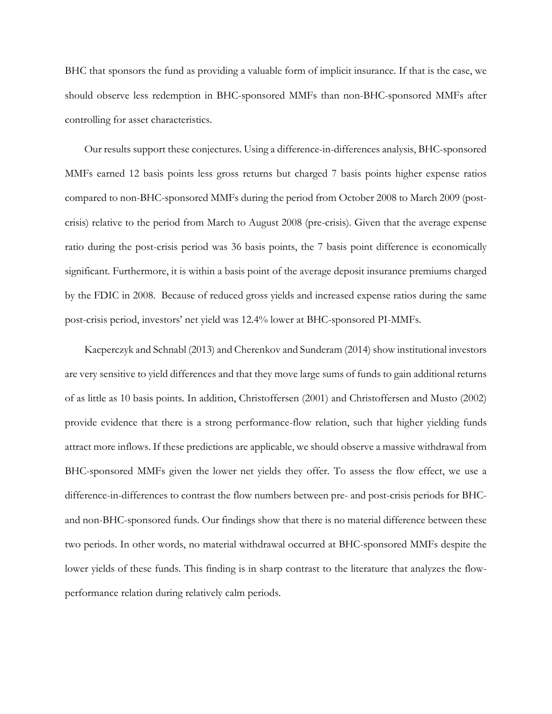BHC that sponsors the fund as providing a valuable form of implicit insurance. If that is the case, we should observe less redemption in BHC-sponsored MMFs than non-BHC-sponsored MMFs after controlling for asset characteristics.

Our results support these conjectures. Using a difference-in-differences analysis, BHC-sponsored MMFs earned 12 basis points less gross returns but charged 7 basis points higher expense ratios compared to non-BHC-sponsored MMFs during the period from October 2008 to March 2009 (postcrisis) relative to the period from March to August 2008 (pre-crisis). Given that the average expense ratio during the post-crisis period was 36 basis points, the 7 basis point difference is economically significant. Furthermore, it is within a basis point of the average deposit insurance premiums charged by the FDIC in 2008. Because of reduced gross yields and increased expense ratios during the same post-crisis period, investors' net yield was 12.4% lower at BHC-sponsored PI-MMFs.

Kacperczyk and Schnabl (2013) and Cherenkov and Sunderam (2014) show institutional investors are very sensitive to yield differences and that they move large sums of funds to gain additional returns of as little as 10 basis points. In addition, Christoffersen (2001) and Christoffersen and Musto (2002) provide evidence that there is a strong performance-flow relation, such that higher yielding funds attract more inflows. If these predictions are applicable, we should observe a massive withdrawal from BHC-sponsored MMFs given the lower net yields they offer. To assess the flow effect, we use a difference-in-differences to contrast the flow numbers between pre- and post-crisis periods for BHCand non-BHC-sponsored funds. Our findings show that there is no material difference between these two periods. In other words, no material withdrawal occurred at BHC-sponsored MMFs despite the lower yields of these funds. This finding is in sharp contrast to the literature that analyzes the flowperformance relation during relatively calm periods.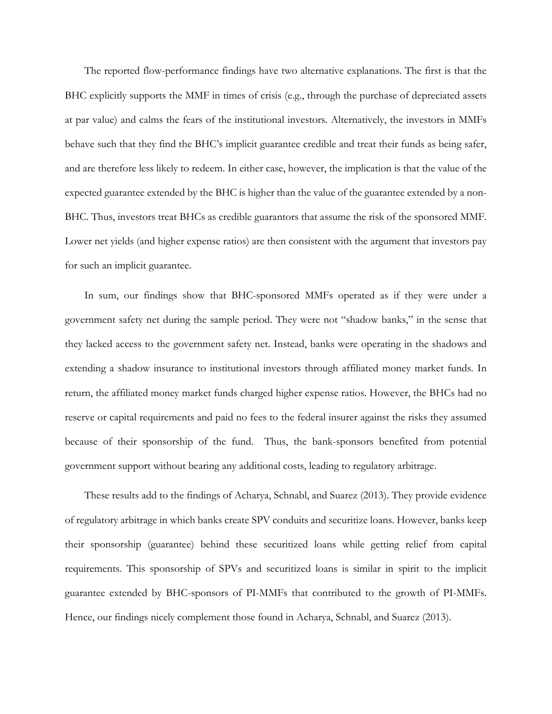The reported flow-performance findings have two alternative explanations. The first is that the BHC explicitly supports the MMF in times of crisis (e.g., through the purchase of depreciated assets at par value) and calms the fears of the institutional investors. Alternatively, the investors in MMFs behave such that they find the BHC's implicit guarantee credible and treat their funds as being safer, and are therefore less likely to redeem. In either case, however, the implication is that the value of the expected guarantee extended by the BHC is higher than the value of the guarantee extended by a non-BHC. Thus, investors treat BHCs as credible guarantors that assume the risk of the sponsored MMF. Lower net yields (and higher expense ratios) are then consistent with the argument that investors pay for such an implicit guarantee.

In sum, our findings show that BHC-sponsored MMFs operated as if they were under a government safety net during the sample period. They were not "shadow banks," in the sense that they lacked access to the government safety net. Instead, banks were operating in the shadows and extending a shadow insurance to institutional investors through affiliated money market funds. In return, the affiliated money market funds charged higher expense ratios. However, the BHCs had no reserve or capital requirements and paid no fees to the federal insurer against the risks they assumed because of their sponsorship of the fund. Thus, the bank-sponsors benefited from potential government support without bearing any additional costs, leading to regulatory arbitrage.

These results add to the findings of Acharya, Schnabl, and Suarez (2013). They provide evidence of regulatory arbitrage in which banks create SPV conduits and securitize loans. However, banks keep their sponsorship (guarantee) behind these securitized loans while getting relief from capital requirements. This sponsorship of SPVs and securitized loans is similar in spirit to the implicit guarantee extended by BHC-sponsors of PI-MMFs that contributed to the growth of PI-MMFs. Hence, our findings nicely complement those found in Acharya, Schnabl, and Suarez (2013).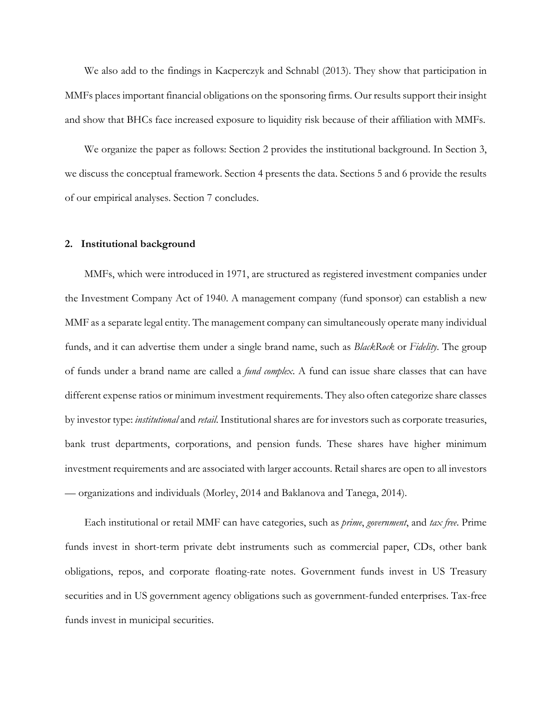We also add to the findings in Kacperczyk and Schnabl (2013). They show that participation in MMFs places important financial obligations on the sponsoring firms. Our results support their insight and show that BHCs face increased exposure to liquidity risk because of their affiliation with MMFs.

We organize the paper as follows: Section 2 provides the institutional background. In Section 3, we discuss the conceptual framework. Section 4 presents the data. Sections 5 and 6 provide the results of our empirical analyses. Section 7 concludes.

### **2. Institutional background**

MMFs, which were introduced in 1971, are structured as registered investment companies under the Investment Company Act of 1940. A management company (fund sponsor) can establish a new MMF as a separate legal entity. The management company can simultaneously operate many individual funds, and it can advertise them under a single brand name, such as *BlackRock* or *Fidelity*. The group of funds under a brand name are called a *fund complex*. A fund can issue share classes that can have different expense ratios or minimum investment requirements. They also often categorize share classes by investor type: *institutional* and *retail*. Institutional shares are for investors such as corporate treasuries, bank trust departments, corporations, and pension funds. These shares have higher minimum investment requirements and are associated with larger accounts. Retail shares are open to all investors — organizations and individuals (Morley, 2014 and Baklanova and Tanega, 2014).

Each institutional or retail MMF can have categories, such as *prime*, *government*, and *tax free*. Prime funds invest in short-term private debt instruments such as commercial paper, CDs, other bank obligations, repos, and corporate floating-rate notes. Government funds invest in US Treasury securities and in US government agency obligations such as government-funded enterprises. Tax-free funds invest in municipal securities.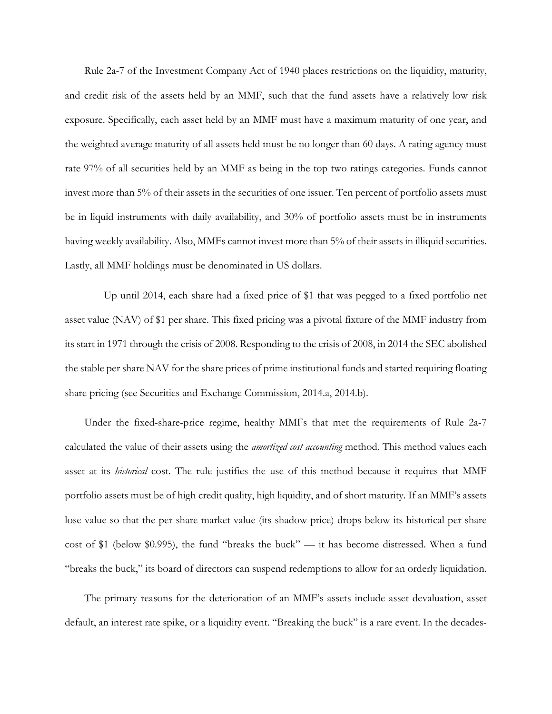Rule 2a-7 of the Investment Company Act of 1940 places restrictions on the liquidity, maturity, and credit risk of the assets held by an MMF, such that the fund assets have a relatively low risk exposure. Specifically, each asset held by an MMF must have a maximum maturity of one year, and the weighted average maturity of all assets held must be no longer than 60 days. A rating agency must rate 97% of all securities held by an MMF as being in the top two ratings categories. Funds cannot invest more than 5% of their assets in the securities of one issuer. Ten percent of portfolio assets must be in liquid instruments with daily availability, and 30% of portfolio assets must be in instruments having weekly availability. Also, MMFs cannot invest more than 5% of their assets in illiquid securities. Lastly, all MMF holdings must be denominated in US dollars.

Up until 2014, each share had a fixed price of \$1 that was pegged to a fixed portfolio net asset value (NAV) of \$1 per share. This fixed pricing was a pivotal fixture of the MMF industry from its start in 1971 through the crisis of 2008. Responding to the crisis of 2008, in 2014 the SEC abolished the stable per share NAV for the share prices of prime institutional funds and started requiring floating share pricing (see Securities and Exchange Commission, 2014.a, 2014.b).

Under the fixed-share-price regime, healthy MMFs that met the requirements of Rule 2a-7 calculated the value of their assets using the *amortized cost accounting* method. This method values each asset at its *historical* cost. The rule justifies the use of this method because it requires that MMF portfolio assets must be of high credit quality, high liquidity, and of short maturity. If an MMF's assets lose value so that the per share market value (its shadow price) drops below its historical per-share cost of \$1 (below \$0.995), the fund "breaks the buck" — it has become distressed. When a fund "breaks the buck," its board of directors can suspend redemptions to allow for an orderly liquidation.

The primary reasons for the deterioration of an MMF's assets include asset devaluation, asset default, an interest rate spike, or a liquidity event. "Breaking the buck" is a rare event. In the decades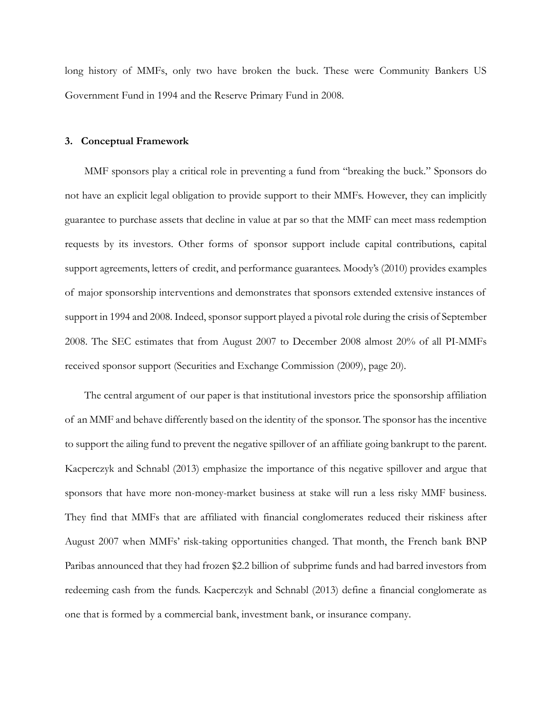long history of MMFs, only two have broken the buck. These were Community Bankers US Government Fund in 1994 and the Reserve Primary Fund in 2008.

#### **3. Conceptual Framework**

MMF sponsors play a critical role in preventing a fund from "breaking the buck." Sponsors do not have an explicit legal obligation to provide support to their MMFs. However, they can implicitly guarantee to purchase assets that decline in value at par so that the MMF can meet mass redemption requests by its investors. Other forms of sponsor support include capital contributions, capital support agreements, letters of credit, and performance guarantees. Moody's (2010) provides examples of major sponsorship interventions and demonstrates that sponsors extended extensive instances of support in 1994 and 2008. Indeed, sponsor support played a pivotal role during the crisis of September 2008. The SEC estimates that from August 2007 to December 2008 almost 20% of all PI-MMFs received sponsor support (Securities and Exchange Commission (2009), page 20).

The central argument of our paper is that institutional investors price the sponsorship affiliation of an MMF and behave differently based on the identity of the sponsor. The sponsor has the incentive to support the ailing fund to prevent the negative spillover of an affiliate going bankrupt to the parent. Kacperczyk and Schnabl (2013) emphasize the importance of this negative spillover and argue that sponsors that have more non-money-market business at stake will run a less risky MMF business. They find that MMFs that are affiliated with financial conglomerates reduced their riskiness after August 2007 when MMFs' risk-taking opportunities changed. That month, the French bank BNP Paribas announced that they had frozen \$2.2 billion of subprime funds and had barred investors from redeeming cash from the funds. Kacperczyk and Schnabl (2013) define a financial conglomerate as one that is formed by a commercial bank, investment bank, or insurance company.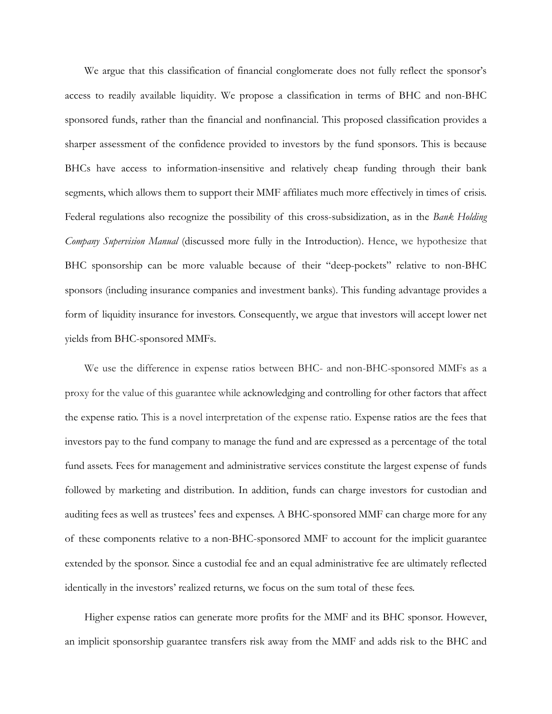We argue that this classification of financial conglomerate does not fully reflect the sponsor's access to readily available liquidity. We propose a classification in terms of BHC and non-BHC sponsored funds, rather than the financial and nonfinancial. This proposed classification provides a sharper assessment of the confidence provided to investors by the fund sponsors. This is because BHCs have access to information-insensitive and relatively cheap funding through their bank segments, which allows them to support their MMF affiliates much more effectively in times of crisis. Federal regulations also recognize the possibility of this cross-subsidization, as in the *Bank Holding Company Supervision Manual* (discussed more fully in the Introduction). Hence, we hypothesize that BHC sponsorship can be more valuable because of their "deep-pockets" relative to non-BHC sponsors (including insurance companies and investment banks). This funding advantage provides a form of liquidity insurance for investors. Consequently, we argue that investors will accept lower net yields from BHC-sponsored MMFs.

We use the difference in expense ratios between BHC- and non-BHC-sponsored MMFs as a proxy for the value of this guarantee while acknowledging and controlling for other factors that affect the expense ratio. This is a novel interpretation of the expense ratio. Expense ratios are the fees that investors pay to the fund company to manage the fund and are expressed as a percentage of the total fund assets. Fees for management and administrative services constitute the largest expense of funds followed by marketing and distribution. In addition, funds can charge investors for custodian and auditing fees as well as trustees' fees and expenses. A BHC-sponsored MMF can charge more for any of these components relative to a non-BHC-sponsored MMF to account for the implicit guarantee extended by the sponsor. Since a custodial fee and an equal administrative fee are ultimately reflected identically in the investors' realized returns, we focus on the sum total of these fees.

Higher expense ratios can generate more profits for the MMF and its BHC sponsor. However, an implicit sponsorship guarantee transfers risk away from the MMF and adds risk to the BHC and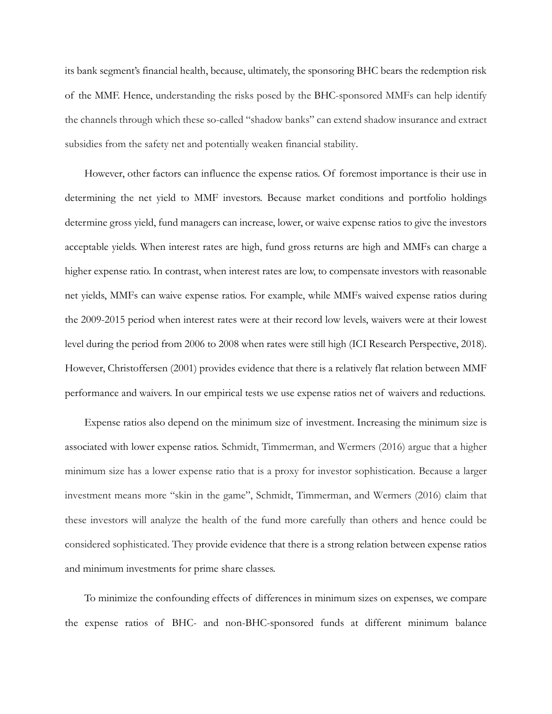its bank segment's financial health, because, ultimately, the sponsoring BHC bears the redemption risk of the MMF. Hence, understanding the risks posed by the BHC-sponsored MMFs can help identify the channels through which these so-called "shadow banks" can extend shadow insurance and extract subsidies from the safety net and potentially weaken financial stability.

However, other factors can influence the expense ratios. Of foremost importance is their use in determining the net yield to MMF investors. Because market conditions and portfolio holdings determine gross yield, fund managers can increase, lower, or waive expense ratios to give the investors acceptable yields. When interest rates are high, fund gross returns are high and MMFs can charge a higher expense ratio. In contrast, when interest rates are low, to compensate investors with reasonable net yields, MMFs can waive expense ratios. For example, while MMFs waived expense ratios during the 2009-2015 period when interest rates were at their record low levels, waivers were at their lowest level during the period from 2006 to 2008 when rates were still high (ICI Research Perspective, 2018). However, Christoffersen (2001) provides evidence that there is a relatively flat relation between MMF performance and waivers. In our empirical tests we use expense ratios net of waivers and reductions.

Expense ratios also depend on the minimum size of investment. Increasing the minimum size is associated with lower expense ratios. Schmidt, Timmerman, and Wermers (2016) argue that a higher minimum size has a lower expense ratio that is a proxy for investor sophistication. Because a larger investment means more "skin in the game", Schmidt, Timmerman, and Wermers (2016) claim that these investors will analyze the health of the fund more carefully than others and hence could be considered sophisticated. They provide evidence that there is a strong relation between expense ratios and minimum investments for prime share classes.

To minimize the confounding effects of differences in minimum sizes on expenses, we compare the expense ratios of BHC- and non-BHC-sponsored funds at different minimum balance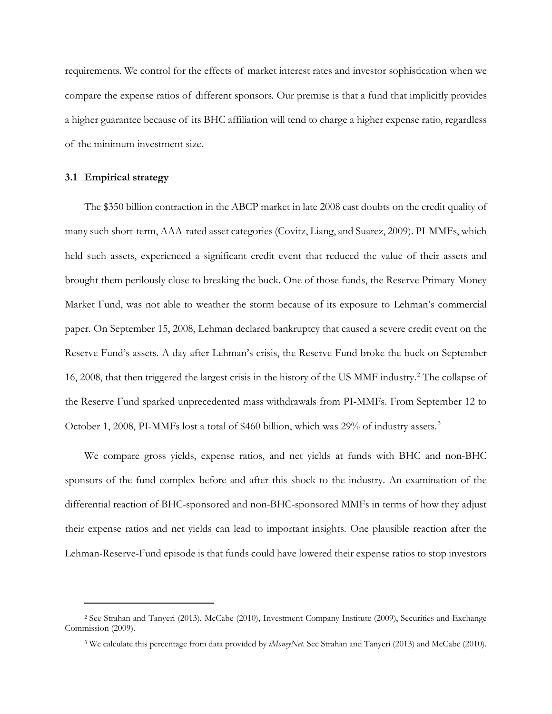requirements. We control for the effects of market interest rates and investor sophistication when we compare the expense ratios of different sponsors. Our premise is that a fund that implicitly provides a higher guarantee because of its BHC affiliation will tend to charge a higher expense ratio, regardless of the minimum investment size.

#### **3.1 Empirical strategy**

i<br>I

The \$350 billion contraction in the ABCP market in late 2008 cast doubts on the credit quality of many such short-term, AAA-rated asset categories (Covitz, Liang, and Suarez, 2009). PI-MMFs, which held such assets, experienced a significant credit event that reduced the value of their assets and brought them perilously close to breaking the buck. One of those funds, the Reserve Primary Money Market Fund, was not able to weather the storm because of its exposure to Lehman's commercial paper. On September 15, 2008, Lehman declared bankruptcy that caused a severe credit event on the Reserve Fund's assets. A day after Lehman's crisis, the Reserve Fund broke the buck on September 16, [2](#page-12-0)008, that then triggered the largest crisis in the history of the US MMF industry.<sup>2</sup> The collapse of the Reserve Fund sparked unprecedented mass withdrawals from PI-MMFs. From September 12 to October 1, 2008, PI-MMFs lost a total of \$460 billion, which was 29% of industry assets.<sup>[3](#page-12-1)</sup>

We compare gross yields, expense ratios, and net yields at funds with BHC and non-BHC sponsors of the fund complex before and after this shock to the industry. An examination of the differential reaction of BHC-sponsored and non-BHC-sponsored MMFs in terms of how they adjust their expense ratios and net yields can lead to important insights. One plausible reaction after the Lehman-Reserve-Fund episode is that funds could have lowered their expense ratios to stop investors

<span id="page-12-1"></span><span id="page-12-0"></span><sup>2</sup> See Strahan and Tanyeri (2013), McCabe (2010), Investment Company Institute (2009), Securities and Exchange Commission (2009).

<sup>3</sup> We calculate this percentage from data provided by *iMoneyNet*. See Strahan and Tanyeri (2013) and McCabe (2010).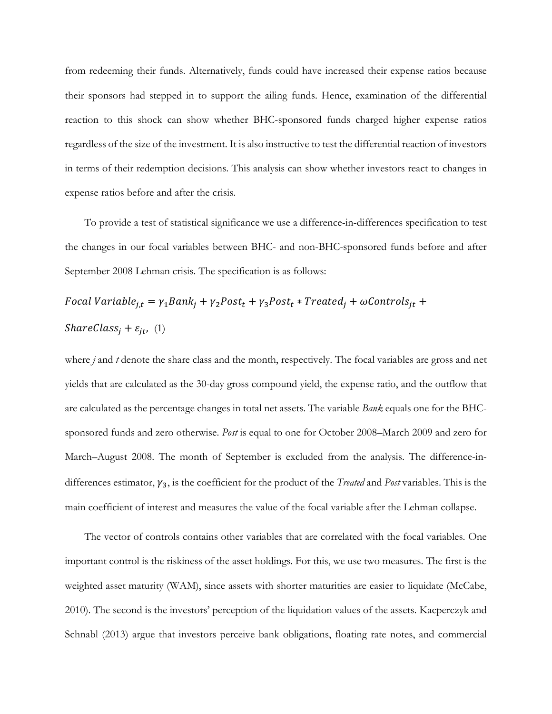from redeeming their funds. Alternatively, funds could have increased their expense ratios because their sponsors had stepped in to support the ailing funds. Hence, examination of the differential reaction to this shock can show whether BHC-sponsored funds charged higher expense ratios regardless of the size of the investment. It is also instructive to test the differential reaction of investors in terms of their redemption decisions. This analysis can show whether investors react to changes in expense ratios before and after the crisis.

To provide a test of statistical significance we use a difference-in-differences specification to test the changes in our focal variables between BHC- and non-BHC-sponsored funds before and after September 2008 Lehman crisis. The specification is as follows:

$$
Focal Variable_{j,t} = \gamma_1 Bank_j + \gamma_2 Post_t + \gamma_3 Post_t * Treated_j + \omega Controls_{jt} +
$$
  
ShareClass<sub>j</sub> +  $\varepsilon_{jt}$ , (1)

where *j* and *t* denote the share class and the month, respectively. The focal variables are gross and net yields that are calculated as the 30-day gross compound yield, the expense ratio, and the outflow that are calculated as the percentage changes in total net assets. The variable *Bank* equals one for the BHCsponsored funds and zero otherwise. *Post* is equal to one for October 2008–March 2009 and zero for March–August 2008. The month of September is excluded from the analysis. The difference-indifferences estimator,  $\gamma_3$ , is the coefficient for the product of the *Treated* and *Post* variables. This is the main coefficient of interest and measures the value of the focal variable after the Lehman collapse.

The vector of controls contains other variables that are correlated with the focal variables. One important control is the riskiness of the asset holdings. For this, we use two measures. The first is the weighted asset maturity (WAM), since assets with shorter maturities are easier to liquidate (McCabe, 2010). The second is the investors' perception of the liquidation values of the assets. Kacperczyk and Schnabl (2013) argue that investors perceive bank obligations, floating rate notes, and commercial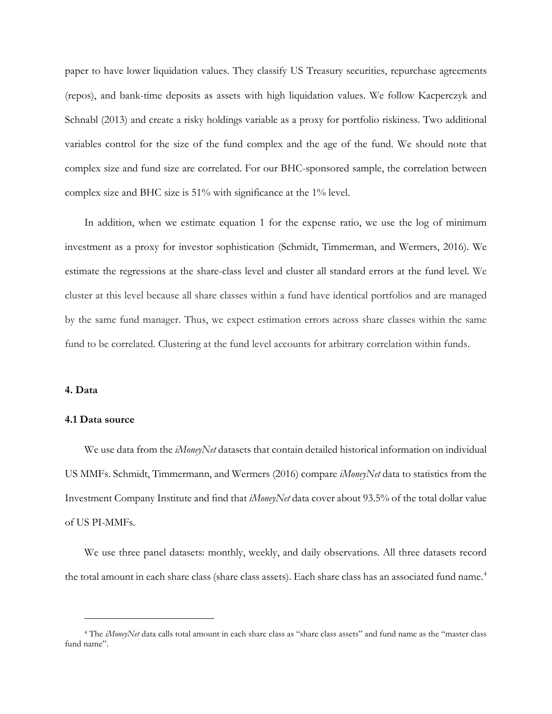paper to have lower liquidation values. They classify US Treasury securities, repurchase agreements (repos), and bank-time deposits as assets with high liquidation values. We follow Kacperczyk and Schnabl (2013) and create a risky holdings variable as a proxy for portfolio riskiness. Two additional variables control for the size of the fund complex and the age of the fund. We should note that complex size and fund size are correlated. For our BHC-sponsored sample, the correlation between complex size and BHC size is 51% with significance at the 1% level.

In addition, when we estimate equation 1 for the expense ratio, we use the log of minimum investment as a proxy for investor sophistication (Schmidt, Timmerman, and Wermers, 2016). We estimate the regressions at the share-class level and cluster all standard errors at the fund level. We cluster at this level because all share classes within a fund have identical portfolios and are managed by the same fund manager. Thus, we expect estimation errors across share classes within the same fund to be correlated. Clustering at the fund level accounts for arbitrary correlation within funds.

#### **4. Data**

I

#### **4.1 Data source**

We use data from the *iMoneyNet* datasets that contain detailed historical information on individual US MMFs. Schmidt, Timmermann, and Wermers (2016) compare *iMoneyNet* data to statistics from the Investment Company Institute and find that *iMoneyNet* data cover about 93.5% of the total dollar value of US PI-MMFs.

We use three panel datasets: monthly, weekly, and daily observations. All three datasets record the total amount in each share class (share class assets). Each share class has an associated fund name.<sup>[4](#page-14-0)</sup>

<span id="page-14-0"></span><sup>4</sup> The *iMoneyNet* data calls total amount in each share class as "share class assets" and fund name as the "master class fund name".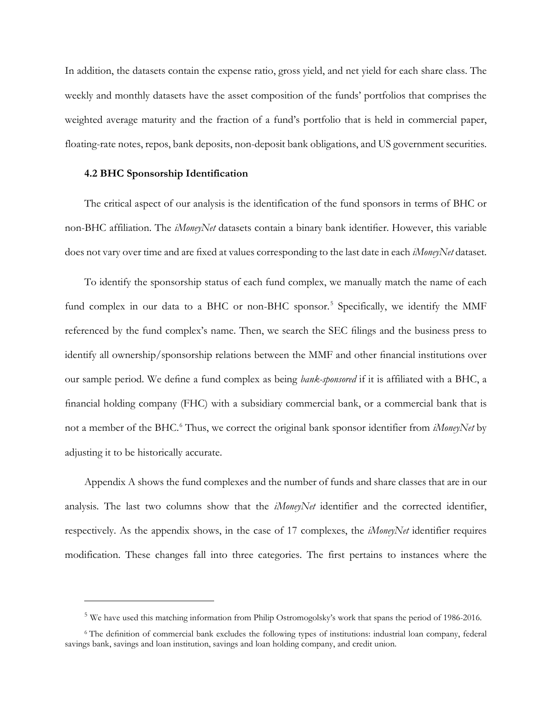In addition, the datasets contain the expense ratio, gross yield, and net yield for each share class. The weekly and monthly datasets have the asset composition of the funds' portfolios that comprises the weighted average maturity and the fraction of a fund's portfolio that is held in commercial paper, floating-rate notes, repos, bank deposits, non-deposit bank obligations, and US government securities.

#### **4.2 BHC Sponsorship Identification**

i<br>I

The critical aspect of our analysis is the identification of the fund sponsors in terms of BHC or non-BHC affiliation. The *iMoneyNet* datasets contain a binary bank identifier. However, this variable does not vary over time and are fixed at values corresponding to the last date in each *iMoneyNet* dataset.

To identify the sponsorship status of each fund complex, we manually match the name of each fund complex in our data to a BHC or non-BHC sponsor.<sup>[5](#page-15-0)</sup> Specifically, we identify the MMF referenced by the fund complex's name. Then, we search the SEC filings and the business press to identify all ownership/sponsorship relations between the MMF and other financial institutions over our sample period. We define a fund complex as being *bank-sponsored* if it is affiliated with a BHC, a financial holding company (FHC) with a subsidiary commercial bank, or a commercial bank that is not a member of the BHC. [6](#page-15-1) Thus, we correct the original bank sponsor identifier from *iMoneyNet* by adjusting it to be historically accurate.

Appendix A shows the fund complexes and the number of funds and share classes that are in our analysis. The last two columns show that the *iMoneyNet* identifier and the corrected identifier, respectively. As the appendix shows, in the case of 17 complexes, the *iMoneyNet* identifier requires modification. These changes fall into three categories. The first pertains to instances where the

<sup>&</sup>lt;sup>5</sup> We have used this matching information from Philip Ostromogolsky's work that spans the period of 1986-2016.

<span id="page-15-1"></span><span id="page-15-0"></span><sup>6</sup> The definition of commercial bank excludes the following types of institutions: industrial loan company, federal savings bank, savings and loan institution, savings and loan holding company, and credit union.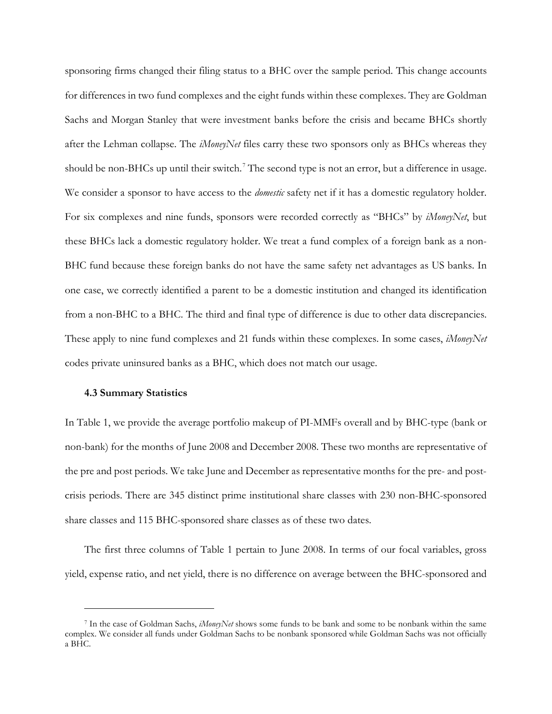sponsoring firms changed their filing status to a BHC over the sample period. This change accounts for differences in two fund complexes and the eight funds within these complexes. They are Goldman Sachs and Morgan Stanley that were investment banks before the crisis and became BHCs shortly after the Lehman collapse. The *iMoneyNet* files carry these two sponsors only as BHCs whereas they should be non-BHCs up until their switch.<sup>[7](#page-16-0)</sup> The second type is not an error, but a difference in usage. We consider a sponsor to have access to the *domestic* safety net if it has a domestic regulatory holder. For six complexes and nine funds, sponsors were recorded correctly as "BHCs" by *iMoneyNet*, but these BHCs lack a domestic regulatory holder. We treat a fund complex of a foreign bank as a non-BHC fund because these foreign banks do not have the same safety net advantages as US banks. In one case, we correctly identified a parent to be a domestic institution and changed its identification from a non-BHC to a BHC. The third and final type of difference is due to other data discrepancies. These apply to nine fund complexes and 21 funds within these complexes. In some cases, *iMoneyNet* codes private uninsured banks as a BHC, which does not match our usage.

#### **4.3 Summary Statistics**

i<br>I

In Table 1, we provide the average portfolio makeup of PI-MMFs overall and by BHC-type (bank or non-bank) for the months of June 2008 and December 2008. These two months are representative of the pre and post periods. We take June and December as representative months for the pre- and postcrisis periods. There are 345 distinct prime institutional share classes with 230 non-BHC-sponsored share classes and 115 BHC-sponsored share classes as of these two dates.

The first three columns of Table 1 pertain to June 2008. In terms of our focal variables, gross yield, expense ratio, and net yield, there is no difference on average between the BHC-sponsored and

<span id="page-16-0"></span><sup>7</sup> In the case of Goldman Sachs, *iMoneyNet* shows some funds to be bank and some to be nonbank within the same complex. We consider all funds under Goldman Sachs to be nonbank sponsored while Goldman Sachs was not officially a BHC.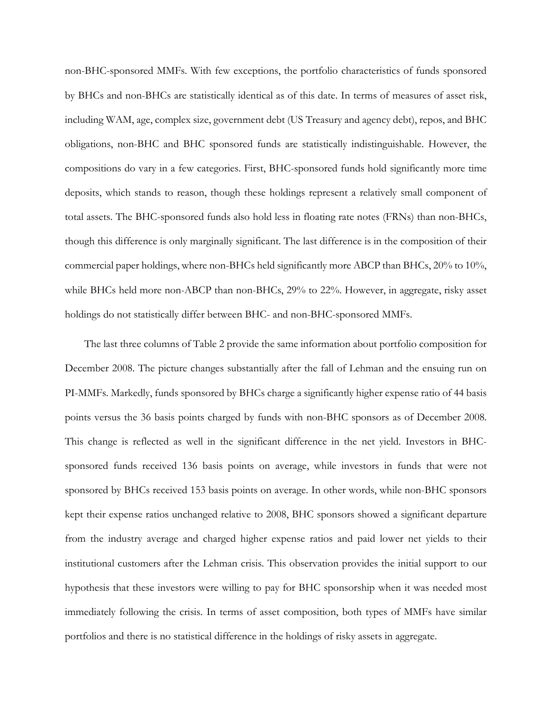non-BHC-sponsored MMFs. With few exceptions, the portfolio characteristics of funds sponsored by BHCs and non-BHCs are statistically identical as of this date. In terms of measures of asset risk, including WAM, age, complex size, government debt (US Treasury and agency debt), repos, and BHC obligations, non-BHC and BHC sponsored funds are statistically indistinguishable. However, the compositions do vary in a few categories. First, BHC-sponsored funds hold significantly more time deposits, which stands to reason, though these holdings represent a relatively small component of total assets. The BHC-sponsored funds also hold less in floating rate notes (FRNs) than non-BHCs, though this difference is only marginally significant. The last difference is in the composition of their commercial paper holdings, where non-BHCs held significantly more ABCP than BHCs, 20% to 10%, while BHCs held more non-ABCP than non-BHCs, 29% to 22%. However, in aggregate, risky asset holdings do not statistically differ between BHC- and non-BHC-sponsored MMFs.

The last three columns of [Table 2](#page-32-0) provide the same information about portfolio composition for December 2008. The picture changes substantially after the fall of Lehman and the ensuing run on PI-MMFs. Markedly, funds sponsored by BHCs charge a significantly higher expense ratio of 44 basis points versus the 36 basis points charged by funds with non-BHC sponsors as of December 2008. This change is reflected as well in the significant difference in the net yield. Investors in BHCsponsored funds received 136 basis points on average, while investors in funds that were not sponsored by BHCs received 153 basis points on average. In other words, while non-BHC sponsors kept their expense ratios unchanged relative to 2008, BHC sponsors showed a significant departure from the industry average and charged higher expense ratios and paid lower net yields to their institutional customers after the Lehman crisis. This observation provides the initial support to our hypothesis that these investors were willing to pay for BHC sponsorship when it was needed most immediately following the crisis. In terms of asset composition, both types of MMFs have similar portfolios and there is no statistical difference in the holdings of risky assets in aggregate.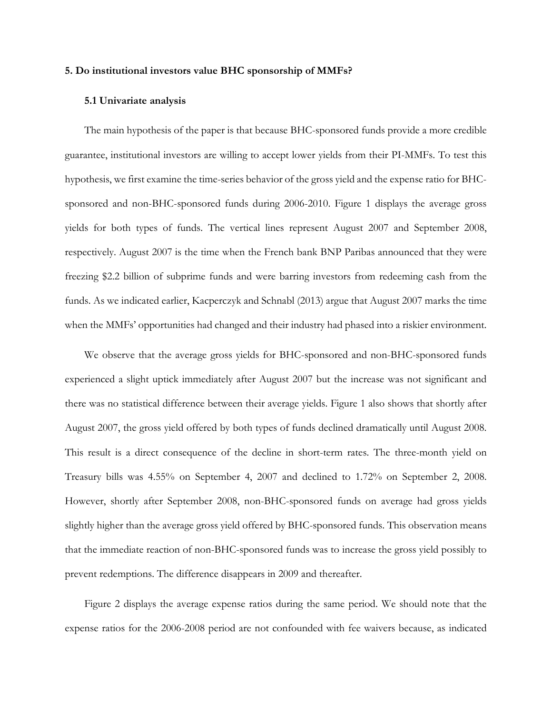#### **5. Do institutional investors value BHC sponsorship of MMFs?**

#### **5.1 Univariate analysis**

The main hypothesis of the paper is that because BHC-sponsored funds provide a more credible guarantee, institutional investors are willing to accept lower yields from their PI-MMFs. To test this hypothesis, we first examine the time-series behavior of the gross yield and the expense ratio for BHCsponsored and non-BHC-sponsored funds during 2006-2010. Figure 1 displays the average gross yields for both types of funds. The vertical lines represent August 2007 and September 2008, respectively. August 2007 is the time when the French bank BNP Paribas announced that they were freezing \$2.2 billion of subprime funds and were barring investors from redeeming cash from the funds. As we indicated earlier, Kacperczyk and Schnabl (2013) argue that August 2007 marks the time when the MMFs' opportunities had changed and their industry had phased into a riskier environment.

We observe that the average gross yields for BHC-sponsored and non-BHC-sponsored funds experienced a slight uptick immediately after August 2007 but the increase was not significant and there was no statistical difference between their average yields. Figure 1 also shows that shortly after August 2007, the gross yield offered by both types of funds declined dramatically until August 2008. This result is a direct consequence of the decline in short-term rates. The three-month yield on Treasury bills was 4.55% on September 4, 2007 and declined to 1.72% on September 2, 2008. However, shortly after September 2008, non-BHC-sponsored funds on average had gross yields slightly higher than the average gross yield offered by BHC-sponsored funds. This observation means that the immediate reaction of non-BHC-sponsored funds was to increase the gross yield possibly to prevent redemptions. The difference disappears in 2009 and thereafter.

Figure 2 displays the average expense ratios during the same period. We should note that the expense ratios for the 2006-2008 period are not confounded with fee waivers because, as indicated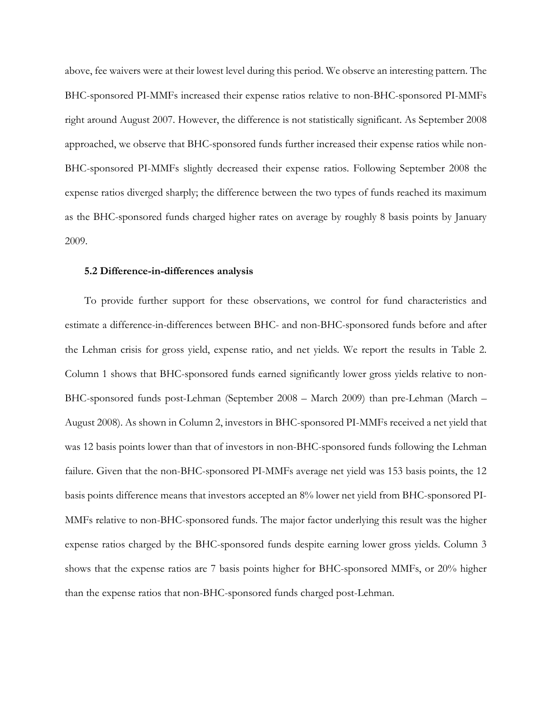above, fee waivers were at their lowest level during this period. We observe an interesting pattern. The BHC-sponsored PI-MMFs increased their expense ratios relative to non-BHC-sponsored PI-MMFs right around August 2007. However, the difference is not statistically significant. As September 2008 approached, we observe that BHC-sponsored funds further increased their expense ratios while non-BHC-sponsored PI-MMFs slightly decreased their expense ratios. Following September 2008 the expense ratios diverged sharply; the difference between the two types of funds reached its maximum as the BHC-sponsored funds charged higher rates on average by roughly 8 basis points by January 2009.

#### **5.2 Difference-in-differences analysis**

To provide further support for these observations, we control for fund characteristics and estimate a difference-in-differences between BHC- and non-BHC-sponsored funds before and after the Lehman crisis for gross yield, expense ratio, and net yields. We report the results in Table 2. Column 1 shows that BHC-sponsored funds earned significantly lower gross yields relative to non-BHC-sponsored funds post-Lehman (September 2008 – March 2009) than pre-Lehman (March – August 2008). As shown in Column 2, investors in BHC-sponsored PI-MMFs received a net yield that was 12 basis points lower than that of investors in non-BHC-sponsored funds following the Lehman failure. Given that the non-BHC-sponsored PI-MMFs average net yield was 153 basis points, the 12 basis points difference means that investors accepted an 8% lower net yield from BHC-sponsored PI-MMFs relative to non-BHC-sponsored funds. The major factor underlying this result was the higher expense ratios charged by the BHC-sponsored funds despite earning lower gross yields. Column 3 shows that the expense ratios are 7 basis points higher for BHC-sponsored MMFs, or 20% higher than the expense ratios that non-BHC-sponsored funds charged post-Lehman.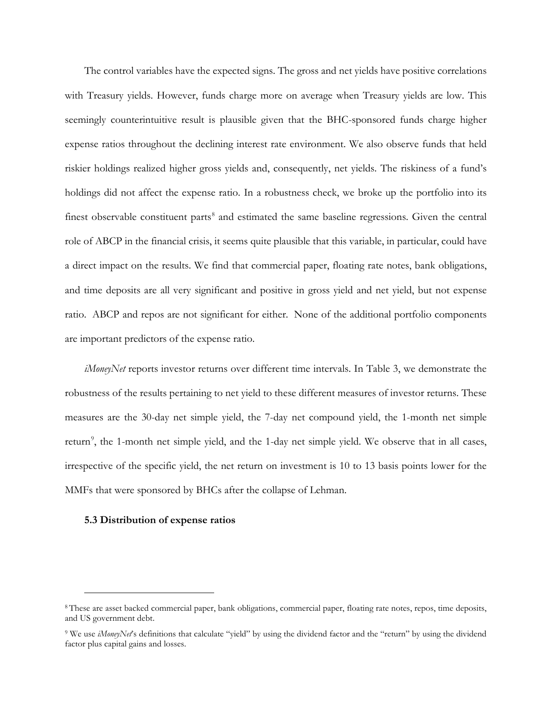The control variables have the expected signs. The gross and net yields have positive correlations with Treasury yields. However, funds charge more on average when Treasury yields are low. This seemingly counterintuitive result is plausible given that the BHC-sponsored funds charge higher expense ratios throughout the declining interest rate environment. We also observe funds that held riskier holdings realized higher gross yields and, consequently, net yields. The riskiness of a fund's holdings did not affect the expense ratio. In a robustness check, we broke up the portfolio into its finest observable constituent parts<sup>[8](#page-20-0)</sup> and estimated the same baseline regressions. Given the central role of ABCP in the financial crisis, it seems quite plausible that this variable, in particular, could have a direct impact on the results. We find that commercial paper, floating rate notes, bank obligations, and time deposits are all very significant and positive in gross yield and net yield, but not expense ratio. ABCP and repos are not significant for either. None of the additional portfolio components are important predictors of the expense ratio.

*iMoneyNet* reports investor returns over different time intervals. In Table 3, we demonstrate the robustness of the results pertaining to net yield to these different measures of investor returns. These measures are the 30-day net simple yield, the 7-day net compound yield, the 1-month net simple return<sup>[9](#page-20-1)</sup>, the 1-month net simple yield, and the 1-day net simple yield. We observe that in all cases, irrespective of the specific yield, the net return on investment is 10 to 13 basis points lower for the MMFs that were sponsored by BHCs after the collapse of Lehman.

#### **5.3 Distribution of expense ratios**

i<br>I

<span id="page-20-0"></span><sup>8</sup> These are asset backed commercial paper, bank obligations, commercial paper, floating rate notes, repos, time deposits, and US government debt.

<span id="page-20-1"></span><sup>9</sup> We use *iMoneyNet*'s definitions that calculate "yield" by using the dividend factor and the "return" by using the dividend factor plus capital gains and losses.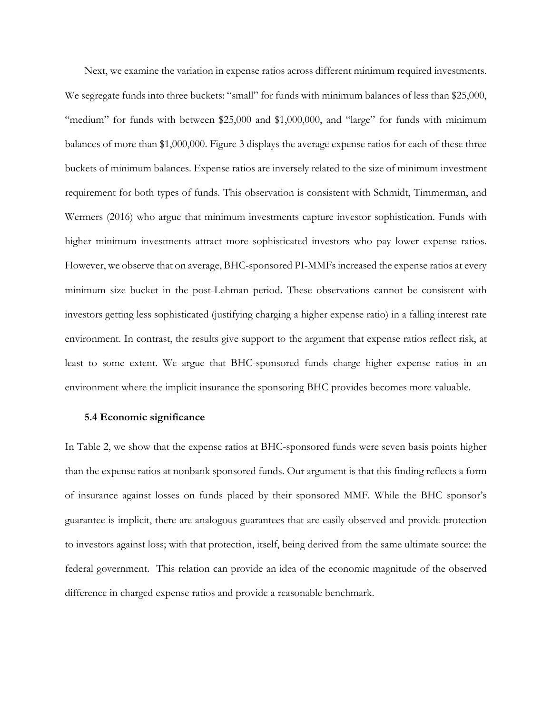Next, we examine the variation in expense ratios across different minimum required investments. We segregate funds into three buckets: "small" for funds with minimum balances of less than \$25,000, "medium" for funds with between \$25,000 and \$1,000,000, and "large" for funds with minimum balances of more than \$1,000,000. Figure 3 displays the average expense ratios for each of these three buckets of minimum balances. Expense ratios are inversely related to the size of minimum investment requirement for both types of funds. This observation is consistent with Schmidt, Timmerman, and Wermers (2016) who argue that minimum investments capture investor sophistication. Funds with higher minimum investments attract more sophisticated investors who pay lower expense ratios. However, we observe that on average, BHC-sponsored PI-MMFs increased the expense ratios at every minimum size bucket in the post-Lehman period. These observations cannot be consistent with investors getting less sophisticated (justifying charging a higher expense ratio) in a falling interest rate environment. In contrast, the results give support to the argument that expense ratios reflect risk, at least to some extent. We argue that BHC-sponsored funds charge higher expense ratios in an environment where the implicit insurance the sponsoring BHC provides becomes more valuable.

#### **5.4 Economic significance**

In Table 2, we show that the expense ratios at BHC-sponsored funds were seven basis points higher than the expense ratios at nonbank sponsored funds. Our argument is that this finding reflects a form of insurance against losses on funds placed by their sponsored MMF. While the BHC sponsor's guarantee is implicit, there are analogous guarantees that are easily observed and provide protection to investors against loss; with that protection, itself, being derived from the same ultimate source: the federal government. This relation can provide an idea of the economic magnitude of the observed difference in charged expense ratios and provide a reasonable benchmark.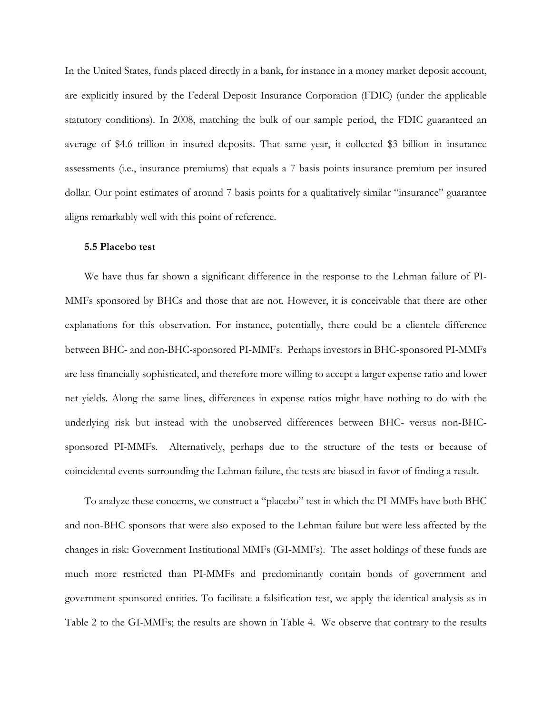In the United States, funds placed directly in a bank, for instance in a money market deposit account, are explicitly insured by the Federal Deposit Insurance Corporation (FDIC) (under the applicable statutory conditions). In 2008, matching the bulk of our sample period, the FDIC guaranteed an average of \$4.6 trillion in insured deposits. That same year, it collected \$3 billion in insurance assessments (i.e., insurance premiums) that equals a 7 basis points insurance premium per insured dollar. Our point estimates of around 7 basis points for a qualitatively similar "insurance" guarantee aligns remarkably well with this point of reference.

#### **5.5 Placebo test**

We have thus far shown a significant difference in the response to the Lehman failure of PI-MMFs sponsored by BHCs and those that are not. However, it is conceivable that there are other explanations for this observation. For instance, potentially, there could be a clientele difference between BHC- and non-BHC-sponsored PI-MMFs. Perhaps investors in BHC-sponsored PI-MMFs are less financially sophisticated, and therefore more willing to accept a larger expense ratio and lower net yields. Along the same lines, differences in expense ratios might have nothing to do with the underlying risk but instead with the unobserved differences between BHC- versus non-BHCsponsored PI-MMFs. Alternatively, perhaps due to the structure of the tests or because of coincidental events surrounding the Lehman failure, the tests are biased in favor of finding a result.

To analyze these concerns, we construct a "placebo" test in which the PI-MMFs have both BHC and non-BHC sponsors that were also exposed to the Lehman failure but were less affected by the changes in risk: Government Institutional MMFs (GI-MMFs). The asset holdings of these funds are much more restricted than PI-MMFs and predominantly contain bonds of government and government-sponsored entities. To facilitate a falsification test, we apply the identical analysis as in Table 2 to the GI-MMFs; the results are shown in Table 4. We observe that contrary to the results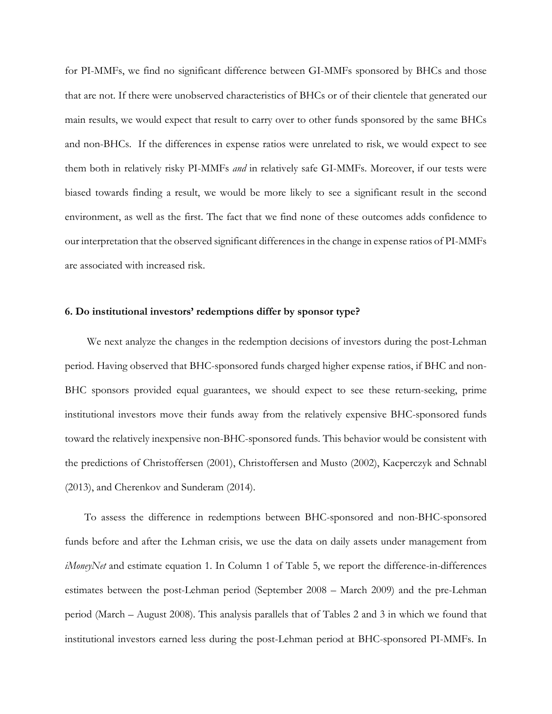for PI-MMFs, we find no significant difference between GI-MMFs sponsored by BHCs and those that are not. If there were unobserved characteristics of BHCs or of their clientele that generated our main results, we would expect that result to carry over to other funds sponsored by the same BHCs and non-BHCs. If the differences in expense ratios were unrelated to risk, we would expect to see them both in relatively risky PI-MMFs *and* in relatively safe GI-MMFs. Moreover, if our tests were biased towards finding a result, we would be more likely to see a significant result in the second environment, as well as the first. The fact that we find none of these outcomes adds confidence to our interpretation that the observed significant differences in the change in expense ratios of PI-MMFs are associated with increased risk.

#### **6. Do institutional investors' redemptions differ by sponsor type?**

We next analyze the changes in the redemption decisions of investors during the post-Lehman period. Having observed that BHC-sponsored funds charged higher expense ratios, if BHC and non-BHC sponsors provided equal guarantees, we should expect to see these return-seeking, prime institutional investors move their funds away from the relatively expensive BHC-sponsored funds toward the relatively inexpensive non-BHC-sponsored funds. This behavior would be consistent with the predictions of Christoffersen (2001), Christoffersen and Musto (2002), Kacperczyk and Schnabl (2013), and Cherenkov and Sunderam (2014).

To assess the difference in redemptions between BHC-sponsored and non-BHC-sponsored funds before and after the Lehman crisis, we use the data on daily assets under management from *iMoneyNet* and estimate equation 1. In Column 1 of Table 5, we report the difference-in-differences estimates between the post-Lehman period (September 2008 – March 2009) and the pre-Lehman period (March – August 2008). This analysis parallels that of Tables 2 and 3 in which we found that institutional investors earned less during the post-Lehman period at BHC-sponsored PI-MMFs. In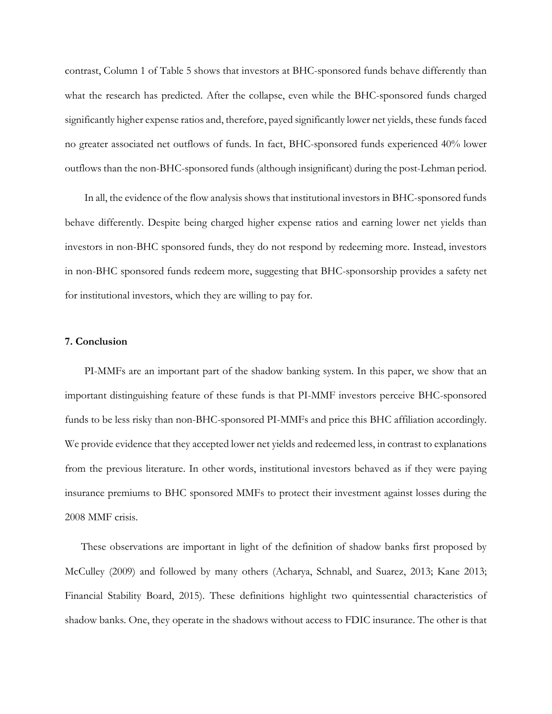contrast, Column 1 of Table 5 shows that investors at BHC-sponsored funds behave differently than what the research has predicted. After the collapse, even while the BHC-sponsored funds charged significantly higher expense ratios and, therefore, payed significantly lower net yields, these funds faced no greater associated net outflows of funds. In fact, BHC-sponsored funds experienced 40% lower outflows than the non-BHC-sponsored funds (although insignificant) during the post-Lehman period.

In all, the evidence of the flow analysis shows that institutional investors in BHC-sponsored funds behave differently. Despite being charged higher expense ratios and earning lower net yields than investors in non-BHC sponsored funds, they do not respond by redeeming more. Instead, investors in non-BHC sponsored funds redeem more, suggesting that BHC-sponsorship provides a safety net for institutional investors, which they are willing to pay for.

#### **7. Conclusion**

PI-MMFs are an important part of the shadow banking system. In this paper, we show that an important distinguishing feature of these funds is that PI-MMF investors perceive BHC-sponsored funds to be less risky than non-BHC-sponsored PI-MMFs and price this BHC affiliation accordingly. We provide evidence that they accepted lower net yields and redeemed less, in contrast to explanations from the previous literature. In other words, institutional investors behaved as if they were paying insurance premiums to BHC sponsored MMFs to protect their investment against losses during the 2008 MMF crisis.

These observations are important in light of the definition of shadow banks first proposed by McCulley (2009) and followed by many others (Acharya, Schnabl, and Suarez, 2013; Kane 2013; Financial Stability Board, 2015). These definitions highlight two quintessential characteristics of shadow banks. One, they operate in the shadows without access to FDIC insurance. The other is that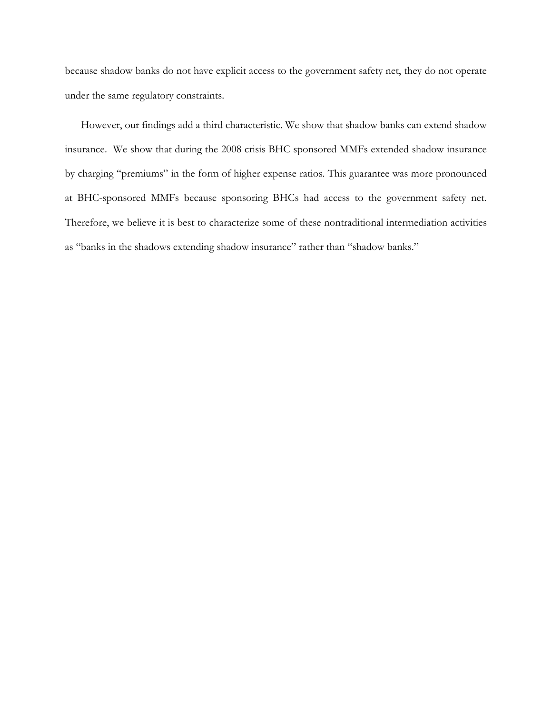because shadow banks do not have explicit access to the government safety net, they do not operate under the same regulatory constraints.

However, our findings add a third characteristic. We show that shadow banks can extend shadow insurance. We show that during the 2008 crisis BHC sponsored MMFs extended shadow insurance by charging "premiums" in the form of higher expense ratios. This guarantee was more pronounced at BHC-sponsored MMFs because sponsoring BHCs had access to the government safety net. Therefore, we believe it is best to characterize some of these nontraditional intermediation activities as "banks in the shadows extending shadow insurance" rather than "shadow banks."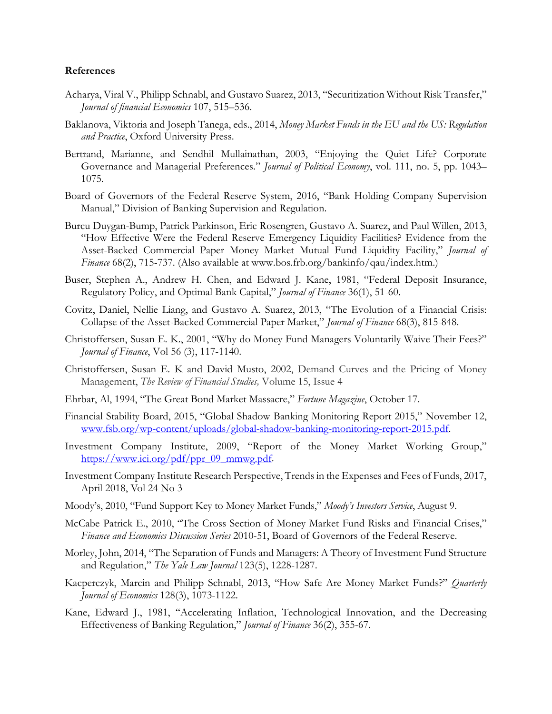#### **References**

- Acharya, Viral V., Philipp Schnabl, and Gustavo Suarez, 2013, "Securitization Without Risk Transfer," *Journal of financial Economics* 107, 515–536.
- Baklanova, Viktoria and Joseph Tanega, eds., 2014, *Money Market Funds in the EU and the US: Regulation and Practice*, Oxford University Press.
- Bertrand, Marianne, and Sendhil Mullainathan, 2003, "Enjoying the Quiet Life? Corporate Governance and Managerial Preferences." *Journal of Political Economy*, vol. 111, no. 5, pp. 1043– 1075.
- Board of Governors of the Federal Reserve System, 2016, "Bank Holding Company Supervision Manual," Division of Banking Supervision and Regulation.
- Burcu Duygan-Bump, Patrick Parkinson, Eric Rosengren, Gustavo A. Suarez, and Paul Willen, 2013, "How Effective Were the Federal Reserve Emergency Liquidity Facilities? Evidence from the Asset-Backed Commercial Paper Money Market Mutual Fund Liquidity Facility," *Journal of Finance* 68(2), 715-737. (Also available at www.bos.frb.org/bankinfo/qau/index.htm.)
- Buser, Stephen A., Andrew H. Chen, and Edward J. Kane, 1981, "Federal Deposit Insurance, Regulatory Policy, and Optimal Bank Capital," *Journal of Finance* 36(1), 51-60.
- Covitz, Daniel, Nellie Liang, and Gustavo A. Suarez, 2013, "The Evolution of a Financial Crisis: Collapse of the Asset-Backed Commercial Paper Market," *Journal of Finance* 68(3), 815-848.
- Christoffersen, Susan E. K., 2001, "Why do Money Fund Managers Voluntarily Waive Their Fees?" *Journal of Finance*, Vol 56 (3), 117-1140.
- Christoffersen, Susan E. K and David Musto, 2002, Demand Curves and the Pricing of Money Management, *The Review of Financial Studies,* Volume 15, Issue 4
- Ehrbar, Al, 1994, "The Great Bond Market Massacre," *Fortune Magazine*, October 17.
- Financial Stability Board, 2015, "Global Shadow Banking Monitoring Report 2015," November 12, [www.fsb.org/wp-content/uploads/global-shadow-banking-monitoring-report-2015.pdf.](http://www.fsb.org/wp-content/uploads/global-shadow-banking-monitoring-report-2015.pdf)
- Investment Company Institute, 2009, "Report of the Money Market Working Group," [https://www.ici.org/pdf/ppr\\_09\\_mmwg.pdf.](https://www.ici.org/pdf/ppr_09_mmwg.pdf)
- Investment Company Institute Research Perspective, Trends in the Expenses and Fees of Funds, 2017, April 2018, Vol 24 No 3
- Moody's, 2010, "Fund Support Key to Money Market Funds," *Moody's Investors Service*, August 9.
- McCabe Patrick E., 2010, "The Cross Section of Money Market Fund Risks and Financial Crises," *Finance and Economics Discussion Series* 2010-51, Board of Governors of the Federal Reserve.
- Morley, John, 2014, "The Separation of Funds and Managers: A Theory of Investment Fund Structure and Regulation," *The Yale Law Journal* 123(5), 1228-1287.
- Kacperczyk, Marcin and Philipp Schnabl, 2013, "How Safe Are Money Market Funds?" *Quarterly Journal of Economics* 128(3), 1073-1122.
- Kane, Edward J., 1981, "Accelerating Inflation, Technological Innovation, and the Decreasing Effectiveness of Banking Regulation," *Journal of Finance* 36(2), 355-67.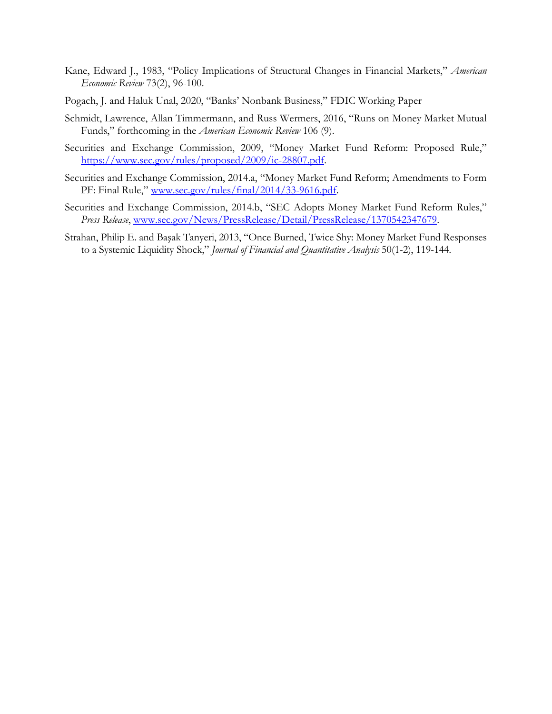- Kane, Edward J., 1983, "Policy Implications of Structural Changes in Financial Markets," *American Economic Review* 73(2), 96-100.
- Pogach, J. and Haluk Unal, 2020, "Banks' Nonbank Business," FDIC Working Paper
- Schmidt, Lawrence, Allan Timmermann, and Russ Wermers, 2016, "Runs on Money Market Mutual Funds," forthcoming in the *American Economic Review* 106 (9).
- Securities and Exchange Commission, 2009, "Money Market Fund Reform: Proposed Rule," [https://www.sec.gov/rules/proposed/2009/ic-28807.pdf.](https://www.sec.gov/rules/proposed/2009/ic-28807.pdf)
- Securities and Exchange Commission, 2014.a, "Money Market Fund Reform; Amendments to Form PF: Final Rule," [www.sec.gov/rules/final/2014/33-9616.pdf.](http://www.sec.gov/rules/final/2014/33-9616.pdf)
- Securities and Exchange Commission, 2014.b, "SEC Adopts Money Market Fund Reform Rules," *Press Release*, [www.sec.gov/News/PressRelease/Detail/PressRelease/1370542347679.](http://www.sec.gov/News/PressRelease/Detail/PressRelease/1370542347679)
- Strahan, Philip E. and Başak Tanyeri, 2013, "Once Burned, Twice Shy: Money Market Fund Responses to a Systemic Liquidity Shock," *Journal of Financial and Quantitative Analysis* 50(1-2), 119-144.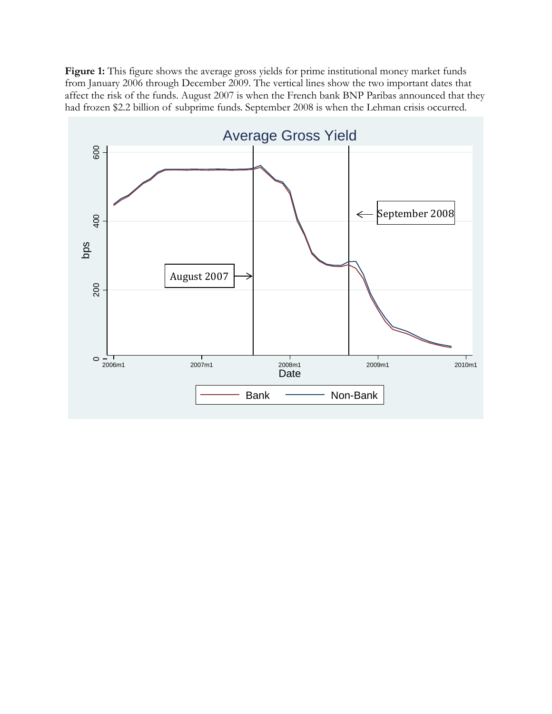Figure 1: This figure shows the average gross yields for prime institutional money market funds from January 2006 through December 2009. The vertical lines show the two important dates that affect the risk of the funds. August 2007 is when the French bank BNP Paribas announced that they had frozen \$2.2 billion of subprime funds. September 2008 is when the Lehman crisis occurred.

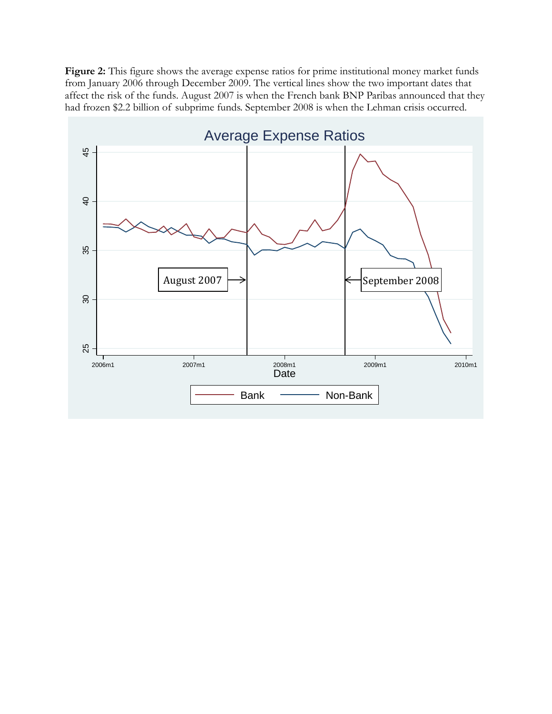Figure 2: This figure shows the average expense ratios for prime institutional money market funds from January 2006 through December 2009. The vertical lines show the two important dates that affect the risk of the funds. August 2007 is when the French bank BNP Paribas announced that they had frozen \$2.2 billion of subprime funds. September 2008 is when the Lehman crisis occurred.

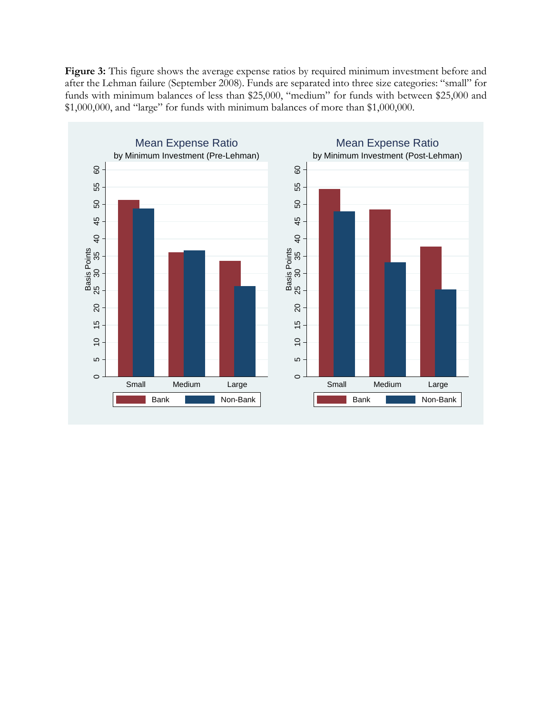**Figure 3:** This figure shows the average expense ratios by required minimum investment before and after the Lehman failure (September 2008). Funds are separated into three size categories: "small" for funds with minimum balances of less than \$25,000, "medium" for funds with between \$25,000 and \$1,000,000, and "large" for funds with minimum balances of more than \$1,000,000.

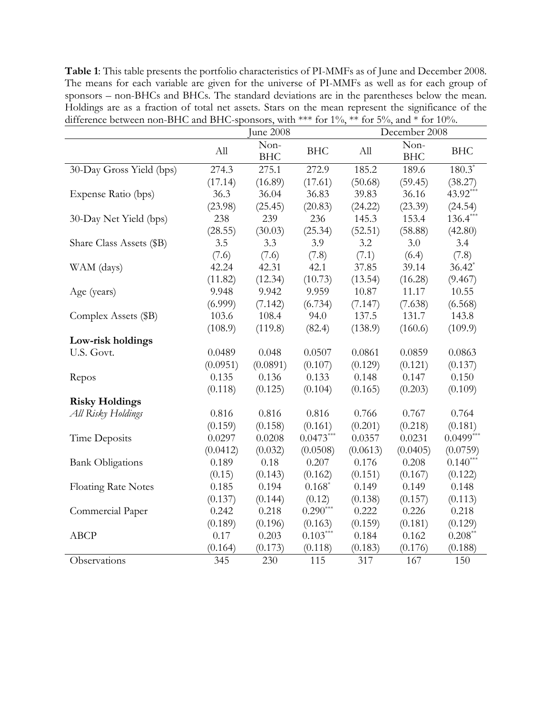**Table 1**: This table presents the portfolio characteristics of PI-MMFs as of June and December 2008. The means for each variable are given for the universe of PI-MMFs as well as for each group of sponsors – non-BHCs and BHCs. The standard deviations are in the parentheses below the mean. Holdings are as a fraction of total net assets. Stars on the mean represent the significance of the difference between non-BHC and BHC-sponsors, with \*\*\* for  $1\%$ , \*\* for  $5\%$ , and \* for  $10\%$ .

|                            | June 2008 |                    | December 2008 |          |                    |             |
|----------------------------|-----------|--------------------|---------------|----------|--------------------|-------------|
|                            | All       | Non-<br><b>BHC</b> | <b>BHC</b>    | All      | Non-<br><b>BHC</b> | <b>BHC</b>  |
| 30-Day Gross Yield (bps)   | 274.3     | 275.1              | 272.9         | 185.2    | 189.6              | $180.3*$    |
|                            | (17.14)   | (16.89)            | (17.61)       | (50.68)  | (59.45)            | (38.27)     |
| Expense Ratio (bps)        | 36.3      | 36.04              | 36.83         | 39.83    | 36.16              | 43.92***    |
|                            | (23.98)   | (25.45)            | (20.83)       | (24.22)  | (23.39)            | (24.54)     |
| 30-Day Net Yield (bps)     | 238       | 239                | 236           | 145.3    | 153.4              | $136.4***$  |
|                            | (28.55)   | (30.03)            | (25.34)       | (52.51)  | (58.88)            | (42.80)     |
| Share Class Assets (\$B)   | 3.5       | 3.3                | 3.9           | 3.2      | 3.0                | 3.4         |
|                            | (7.6)     | (7.6)              | (7.8)         | (7.1)    | (6.4)              | (7.8)       |
| WAM (days)                 | 42.24     | 42.31              | 42.1          | 37.85    | 39.14              | $36.42*$    |
|                            | (11.82)   | (12.34)            | (10.73)       | (13.54)  | (16.28)            | (9.467)     |
| Age (years)                | 9.948     | 9.942              | 9.959         | 10.87    | 11.17              | 10.55       |
|                            | (6.999)   | (7.142)            | (6.734)       | (7.147)  | (7.638)            | (6.568)     |
| Complex Assets (\$B)       | 103.6     | 108.4              | 94.0          | 137.5    | 131.7              | 143.8       |
|                            | (108.9)   | (119.8)            | (82.4)        | (138.9)  | (160.6)            | (109.9)     |
| Low-risk holdings          |           |                    |               |          |                    |             |
| U.S. Govt.                 | 0.0489    | 0.048              | 0.0507        | 0.0861   | 0.0859             | 0.0863      |
|                            | (0.0951)  | (0.0891)           | (0.107)       | (0.129)  | (0.121)            | (0.137)     |
| Repos                      | 0.135     | 0.136              | 0.133         | 0.148    | 0.147              | 0.150       |
|                            | (0.118)   | (0.125)            | (0.104)       | (0.165)  | (0.203)            | (0.109)     |
| <b>Risky Holdings</b>      |           |                    |               |          |                    |             |
| All Risky Holdings         | 0.816     | 0.816              | 0.816         | 0.766    | 0.767              | 0.764       |
|                            | (0.159)   | (0.158)            | (0.161)       | (0.201)  | (0.218)            | (0.181)     |
| Time Deposits              | 0.0297    | 0.0208             | $0.0473***$   | 0.0357   | 0.0231             | $0.0499***$ |
|                            | (0.0412)  | (0.032)            | (0.0508)      | (0.0613) | (0.0405)           | (0.0759)    |
| <b>Bank Obligations</b>    | 0.189     | 0.18               | 0.207         | 0.176    | 0.208              | $0.140***$  |
|                            | (0.15)    | (0.143)            | (0.162)       | (0.151)  | (0.167)            | (0.122)     |
| <b>Floating Rate Notes</b> | 0.185     | 0.194              | $0.168*$      | 0.149    | 0.149              | 0.148       |
|                            | (0.137)   | (0.144)            | (0.12)        | (0.138)  | (0.157)            | (0.113)     |
| Commercial Paper           | 0.242     | 0.218              | $0.290***$    | 0.222    | 0.226              | 0.218       |
|                            | (0.189)   | (0.196)            | (0.163)       | (0.159)  | (0.181)            | (0.129)     |
| <b>ABCP</b>                | 0.17      | 0.203              | $0.103***$    | 0.184    | 0.162              | $0.208**$   |
|                            | (0.164)   | (0.173)            | (0.118)       | (0.183)  | (0.176)            | (0.188)     |
| Observations               | 345       | 230                | 115           | 317      | 167                | 150         |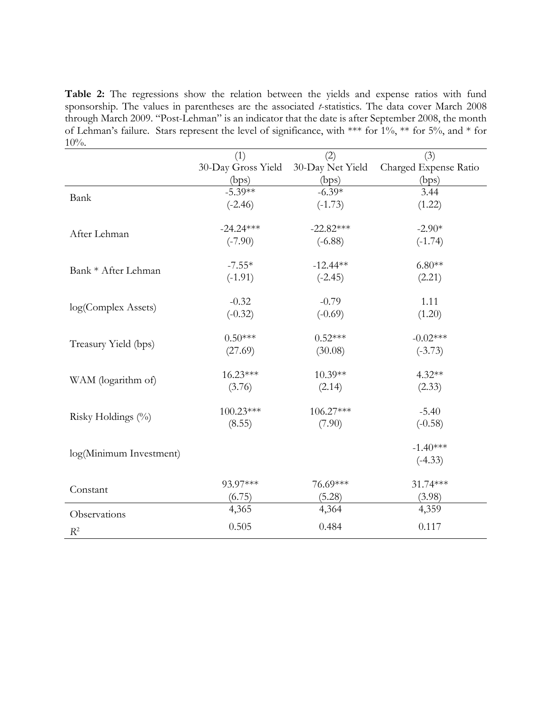<span id="page-32-0"></span>**Table 2:** The regressions show the relation between the yields and expense ratios with fund sponsorship. The values in parentheses are the associated *t*-statistics. The data cover March 2008 through March 2009. "Post-Lehman" is an indicator that the date is after September 2008, the month of Lehman's failure. Stars represent the level of significance, with \*\*\* for 1%, \*\* for 5%, and \* for  $10%$ .

|                         | (1)                | (2)              | (3)                   |
|-------------------------|--------------------|------------------|-----------------------|
|                         | 30-Day Gross Yield | 30-Day Net Yield | Charged Expense Ratio |
|                         | (bps)              | (bps)            | (bps)                 |
| Bank                    | $-5.39**$          | $-6.39*$         | 3.44                  |
|                         | $(-2.46)$          | $(-1.73)$        | (1.22)                |
| After Lehman            | $-24.24***$        | $-22.82***$      | $-2.90*$              |
|                         | $(-7.90)$          | $(-6.88)$        | $(-1.74)$             |
|                         | $-7.55*$           | $-12.44**$       | $6.80**$              |
| Bank * After Lehman     | $(-1.91)$          | $(-2.45)$        | (2.21)                |
|                         | $-0.32$            | $-0.79$          | 1.11                  |
| log(Complex Assets)     | $(-0.32)$          | $(-0.69)$        | (1.20)                |
|                         | $0.50***$          | $0.52***$        | $-0.02***$            |
| Treasury Yield (bps)    | (27.69)            | (30.08)          | $(-3.73)$             |
|                         | $16.23***$         | 10.39**          | $4.32**$              |
| WAM (logarithm of)      | (3.76)             | (2.14)           | (2.33)                |
|                         | 100.23***          | 106.27***        | $-5.40$               |
| Risky Holdings (%)      | (8.55)             | (7.90)           | $(-0.58)$             |
|                         |                    |                  | $-1.40***$            |
| log(Minimum Investment) |                    |                  | $(-4.33)$             |
|                         | 93.97***           | 76.69***         | 31.74***              |
| Constant                | (6.75)             | (5.28)           | (3.98)                |
| Observations            | 4,365              | 4,364            | 4,359                 |
| $R^2$                   | 0.505              | 0.484            | 0.117                 |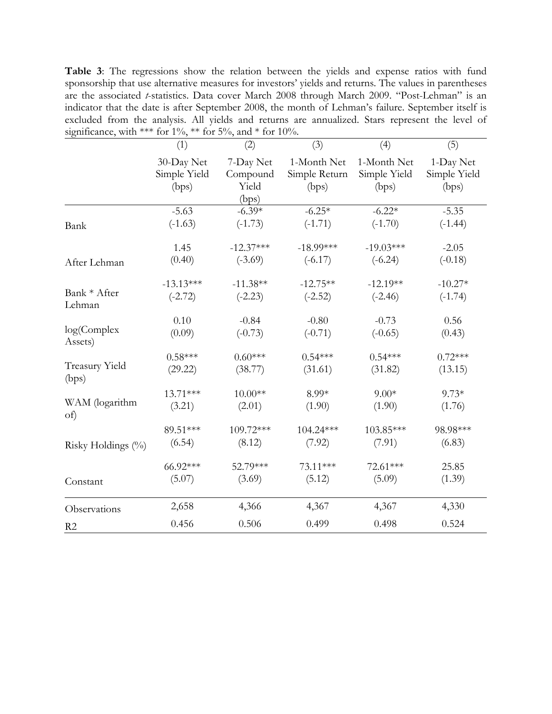**Table 3**: The regressions show the relation between the yields and expense ratios with fund sponsorship that use alternative measures for investors' yields and returns. The values in parentheses are the associated *t*-statistics. Data cover March 2008 through March 2009. "Post-Lehman" is an indicator that the date is after September 2008, the month of Lehman's failure. September itself is excluded from the analysis. All yields and returns are annualized. Stars represent the level of significance, with \*\*\* for 1%, \*\* for 5%, and \* for 10%.

|                       | (1)                                 | (2)                                     | (3)                                   | (4)                                  | (5)                                |
|-----------------------|-------------------------------------|-----------------------------------------|---------------------------------------|--------------------------------------|------------------------------------|
|                       | 30-Day Net<br>Simple Yield<br>(bps) | 7-Day Net<br>Compound<br>Yield<br>(bps) | 1-Month Net<br>Simple Return<br>(bps) | 1-Month Net<br>Simple Yield<br>(bps) | 1-Day Net<br>Simple Yield<br>(bps) |
| Bank                  | $-5.63$                             | $-6.39*$                                | $-6.25*$                              | $-6.22*$                             | $-5.35$                            |
|                       | $(-1.63)$                           | $(-1.73)$                               | $(-1.71)$                             | $(-1.70)$                            | $(-1.44)$                          |
| After Lehman          | 1.45                                | $-12.37***$                             | $-18.99***$                           | $-19.03***$                          | $-2.05$                            |
|                       | (0.40)                              | $(-3.69)$                               | $(-6.17)$                             | $(-6.24)$                            | $(-0.18)$                          |
| Bank * After          | $-13.13***$                         | $-11.38**$                              | $-12.75**$                            | $-12.19**$                           | $-10.27*$                          |
| Lehman                | $(-2.72)$                           | $(-2.23)$                               | $(-2.52)$                             | $(-2.46)$                            | $(-1.74)$                          |
| log(Complex)          | 0.10                                | $-0.84$                                 | $-0.80$                               | $-0.73$                              | 0.56                               |
| Assets)               | (0.09)                              | $(-0.73)$                               | $(-0.71)$                             | $(-0.65)$                            | (0.43)                             |
| <b>Treasury Yield</b> | $0.58***$                           | $0.60***$                               | $0.54***$                             | $0.54***$                            | $0.72***$                          |
| (bps)                 | (29.22)                             | (38.77)                                 | (31.61)                               | (31.82)                              | (13.15)                            |
| WAM (logarithm        | $13.71***$                          | $10.00**$                               | 8.99*                                 | $9.00*$                              | $9.73*$                            |
| of)                   | (3.21)                              | (2.01)                                  | (1.90)                                | (1.90)                               | (1.76)                             |
| Risky Holdings (%)    | 89.51***                            | 109.72***                               | $104.24***$                           | 103.85***                            | 98.98***                           |
|                       | (6.54)                              | (8.12)                                  | (7.92)                                | (7.91)                               | (6.83)                             |
| Constant              | 66.92***                            | 52.79***                                | 73.11***                              | 72.61***                             | 25.85                              |
|                       | (5.07)                              | (3.69)                                  | (5.12)                                | (5.09)                               | (1.39)                             |
| Observations          | 2,658                               | 4,366                                   | 4,367                                 | 4,367                                | 4,330                              |
| R <sub>2</sub>        | 0.456                               | 0.506                                   | 0.499                                 | 0.498                                | 0.524                              |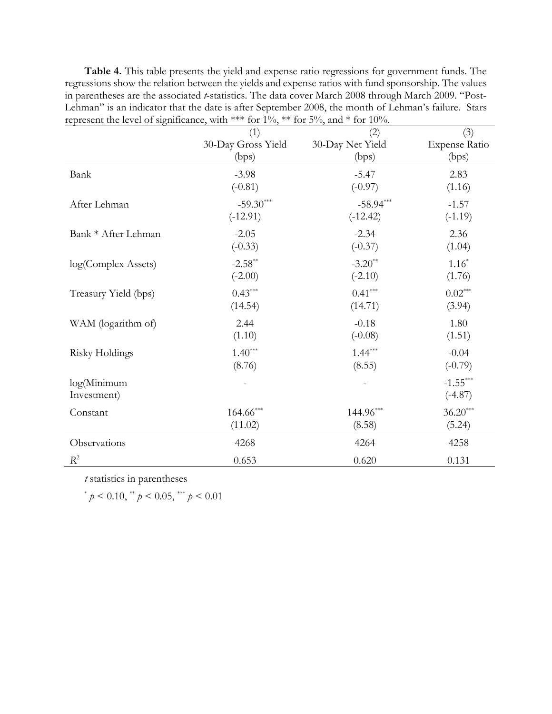**Table 4.** This table presents the yield and expense ratio regressions for government funds. The regressions show the relation between the yields and expense ratios with fund sponsorship. The values in parentheses are the associated *t*-statistics. The data cover March 2008 through March 2009. "Post-Lehman" is an indicator that the date is after September 2008, the month of Lehman's failure. Stars represent the level of significance, with \*\*\* for  $1\%$ , \*\* for  $5\%$ , and \* for  $10\%$ .

|                            | (1)                | (2)              | (3)                     |
|----------------------------|--------------------|------------------|-------------------------|
|                            | 30-Day Gross Yield | 30-Day Net Yield | <b>Expense Ratio</b>    |
|                            | (bps)              | (bps)            | (bps)                   |
| Bank                       | $-3.98$            | $-5.47$          | 2.83                    |
|                            | $(-0.81)$          | $(-0.97)$        | (1.16)                  |
| After Lehman               | $-59.30***$        | $-58.94***$      | $-1.57$                 |
|                            | $(-12.91)$         | $(-12.42)$       | $(-1.19)$               |
| Bank * After Lehman        | $-2.05$            | $-2.34$          | 2.36                    |
|                            | $(-0.33)$          | $(-0.37)$        | (1.04)                  |
| log(Complex Assets)        | $-2.58**$          | $-3.20**$        | $1.16*$                 |
|                            | $(-2.00)$          | $(-2.10)$        | (1.76)                  |
| Treasury Yield (bps)       | $0.43***$          | $0.41***$        | $0.02***$               |
|                            | (14.54)            | (14.71)          | (3.94)                  |
| WAM (logarithm of)         | 2.44               | $-0.18$          | 1.80                    |
|                            | (1.10)             | $(-0.08)$        | (1.51)                  |
| Risky Holdings             | $1.40***$          | $1.44***$        | $-0.04$                 |
|                            | (8.76)             | (8.55)           | $(-0.79)$               |
| log(Minimum<br>Investment) |                    |                  | $-1.55***$<br>$(-4.87)$ |
| Constant                   | $164.66***$        | $144.96***$      | $36.20***$              |
|                            | (11.02)            | (8.58)           | (5.24)                  |
| Observations               | 4268               | 4264             | 4258                    |
| $R^2$                      | 0.653              | 0.620            | 0.131                   |

*t* statistics in parentheses

 $*$   $p < 0.10$ ,  $*$   $p < 0.05$ ,  $*$   $p < 0.01$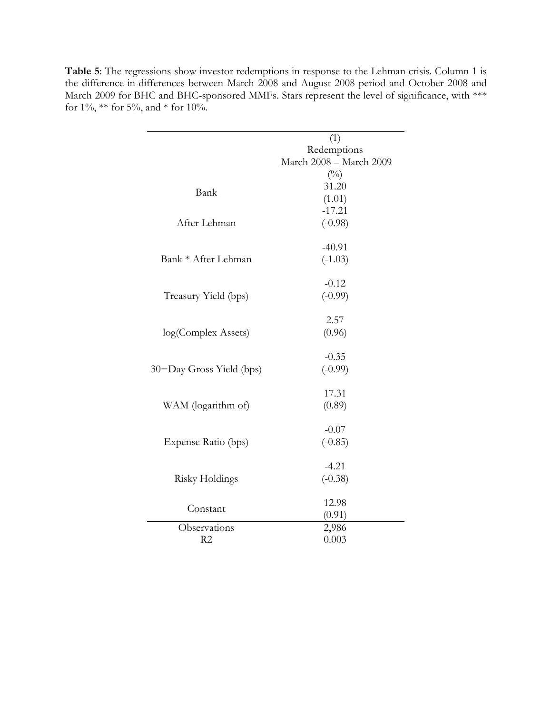|                          | (1)                     |
|--------------------------|-------------------------|
|                          | Redemptions             |
|                          | March 2008 - March 2009 |
|                          | $(^{0}_{0})$            |
|                          | 31.20                   |
| Bank                     | (1.01)                  |
|                          | $-17.21$                |
| After Lehman             | $(-0.98)$               |
|                          |                         |
|                          | $-40.91$                |
| Bank * After Lehman      | $(-1.03)$               |
|                          |                         |
|                          | $-0.12$                 |
| Treasury Yield (bps)     | $(-0.99)$               |
|                          | 2.57                    |
| log(Complex Assets)      | (0.96)                  |
|                          |                         |
|                          | $-0.35$                 |
| 30–Day Gross Yield (bps) | $(-0.99)$               |
|                          |                         |
|                          | 17.31                   |
| WAM (logarithm of)       | (0.89)                  |
|                          | $-0.07$                 |
| Expense Ratio (bps)      | $(-0.85)$               |
|                          |                         |
|                          | $-4.21$                 |
| Risky Holdings           | $(-0.38)$               |
|                          |                         |
| Constant                 | 12.98                   |
|                          | (0.91)                  |
| Observations             | 2,986                   |
| R2                       | 0.003                   |

Table 5: The regressions show investor redemptions in response to the Lehman crisis. Column 1 is the difference-in-differences between March 2008 and August 2008 period and October 2008 and March 2009 for BHC and BHC-sponsored MMFs. Stars represent the level of significance, with \*\*\* for  $1\%$ , \*\* for  $5\%$ , and \* for  $10\%$ .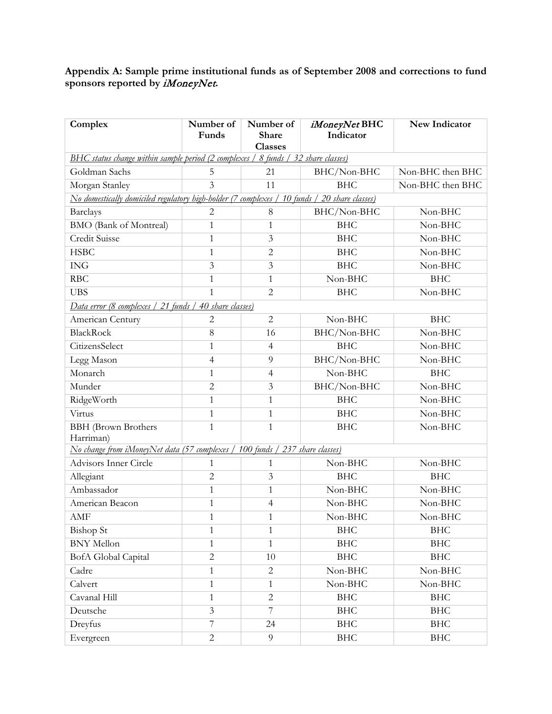## **Appendix A: Sample prime institutional funds as of September 2008 and corrections to fund sponsors reported by** iMoneyNet**.**

| Complex                                                                           | Number of<br>Funds                                                                              | Number of<br>Share<br><b>Classes</b> | iMoneyNet BHC<br>Indicator | New Indicator    |  |  |  |
|-----------------------------------------------------------------------------------|-------------------------------------------------------------------------------------------------|--------------------------------------|----------------------------|------------------|--|--|--|
| BHC status change within sample period (2 complexes / 8 funds / 32 share classes) |                                                                                                 |                                      |                            |                  |  |  |  |
| Goldman Sachs                                                                     | 5                                                                                               | 21                                   | BHC/Non-BHC                | Non-BHC then BHC |  |  |  |
| Morgan Stanley                                                                    | 3                                                                                               | 11                                   | <b>BHC</b>                 | Non-BHC then BHC |  |  |  |
|                                                                                   | No domestically domiciled regulatory high-holder (7 complexes /<br>10 funds / 20 share classes) |                                      |                            |                  |  |  |  |
| <b>Barclays</b>                                                                   | $\overline{2}$                                                                                  | $\,8\,$                              | BHC/Non-BHC                | Non-BHC          |  |  |  |
| <b>BMO</b> (Bank of Montreal)                                                     | $\mathbf{1}$                                                                                    | 1                                    | <b>BHC</b>                 | Non-BHC          |  |  |  |
| Credit Suisse                                                                     | $\mathbf{1}$                                                                                    | 3                                    | <b>BHC</b>                 | Non-BHC          |  |  |  |
| <b>HSBC</b>                                                                       | $\mathbf{1}$                                                                                    | $\mathbf{2}$                         | <b>BHC</b>                 | Non-BHC          |  |  |  |
| <b>ING</b>                                                                        | $\mathfrak{Z}$                                                                                  | 3                                    | <b>BHC</b>                 | Non-BHC          |  |  |  |
| <b>RBC</b>                                                                        | $\mathbf{1}$                                                                                    | $\mathbf{1}$                         | Non-BHC                    | <b>BHC</b>       |  |  |  |
| <b>UBS</b>                                                                        | $\mathbf{1}$                                                                                    | $\overline{2}$                       | <b>BHC</b>                 | Non-BHC          |  |  |  |
| Data error (8 complexes / 21 funds / 40 share classes)                            |                                                                                                 |                                      |                            |                  |  |  |  |
| American Century                                                                  | $\overline{2}$                                                                                  | $\mathbf{2}$                         | Non-BHC                    | <b>BHC</b>       |  |  |  |
| <b>BlackRock</b>                                                                  | 8                                                                                               | 16                                   | BHC/Non-BHC                | Non-BHC          |  |  |  |
| CitizensSelect                                                                    | $\mathbf{1}$                                                                                    | $\overline{4}$                       | <b>BHC</b>                 | Non-BHC          |  |  |  |
| Legg Mason                                                                        | $\overline{4}$                                                                                  | 9                                    | BHC/Non-BHC                | Non-BHC          |  |  |  |
| Monarch                                                                           | $\mathbf{1}$                                                                                    | $\overline{4}$                       | Non-BHC                    | <b>BHC</b>       |  |  |  |
| Munder                                                                            | $\overline{2}$                                                                                  | 3                                    | BHC/Non-BHC                | Non-BHC          |  |  |  |
| RidgeWorth                                                                        | $\mathbf{1}$                                                                                    | $\mathbf{1}$                         | <b>BHC</b>                 | Non-BHC          |  |  |  |
| Virtus                                                                            | $\mathbf{1}$                                                                                    | 1                                    | <b>BHC</b>                 | Non-BHC          |  |  |  |
| <b>BBH</b> (Brown Brothers<br>Harriman)                                           | $\mathbf{1}$                                                                                    | $\mathbf{1}$                         | <b>BHC</b>                 | Non-BHC          |  |  |  |
| No change from iMoneyNet data (57 complexes / 100 funds / 237 share classes)      |                                                                                                 |                                      |                            |                  |  |  |  |
| Advisors Inner Circle                                                             | $\mathbf{1}$                                                                                    | 1                                    | Non-BHC                    | Non-BHC          |  |  |  |
| Allegiant                                                                         | $\overline{2}$                                                                                  | 3                                    | <b>BHC</b>                 | <b>BHC</b>       |  |  |  |
| Ambassador                                                                        | $\mathbf{1}$                                                                                    | 1                                    | Non-BHC                    | Non-BHC          |  |  |  |
| American Beacon                                                                   | $\mathbf{1}$                                                                                    | $\overline{4}$                       | Non-BHC                    | Non-BHC          |  |  |  |
| AMF                                                                               | $\mathbf{1}$                                                                                    | 1                                    | Non-BHC                    | Non-BHC          |  |  |  |
| <b>Bishop</b> St                                                                  | $\mathbf{1}$                                                                                    | $\mathbf{1}$                         | <b>BHC</b>                 | <b>BHC</b>       |  |  |  |
| <b>BNY</b> Mellon                                                                 | $\mathbf{1}$                                                                                    | 1                                    | <b>BHC</b>                 | <b>BHC</b>       |  |  |  |
| <b>BofA</b> Global Capital                                                        | $\overline{2}$                                                                                  | 10                                   | <b>BHC</b>                 | <b>BHC</b>       |  |  |  |
| Cadre                                                                             | $\mathbf{1}$                                                                                    | 2                                    | Non-BHC                    | Non-BHC          |  |  |  |
| Calvert                                                                           | $\mathbf{1}$                                                                                    | $\mathbf{1}$                         | Non-BHC                    | Non-BHC          |  |  |  |
| Cavanal Hill                                                                      | $\mathbf{1}$                                                                                    | $\mathbf{2}$                         | <b>BHC</b>                 | <b>BHC</b>       |  |  |  |
| Deutsche                                                                          | $\overline{\mathbf{3}}$                                                                         | $\overline{7}$                       | <b>BHC</b>                 | <b>BHC</b>       |  |  |  |
| Dreyfus                                                                           | $\overline{7}$                                                                                  | 24                                   | <b>BHC</b>                 | <b>BHC</b>       |  |  |  |
| Evergreen                                                                         | $\sqrt{2}$                                                                                      | 9                                    | <b>BHC</b>                 | <b>BHC</b>       |  |  |  |